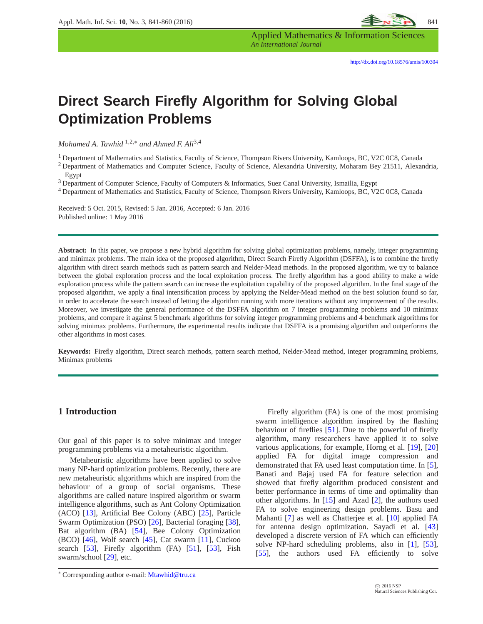Applied Mathematics & Information Sciences *An International Journal*

# **Direct Search Firefly Algorithm for Solving Global Optimization Problems**

*Mohamed A. Tawhid* <sup>1</sup>,2,<sup>∗</sup> *and Ahmed F. Ali*3,<sup>4</sup>

<sup>1</sup> Department of Mathematics and Statistics, Faculty of Science, Thompson Rivers University, Kamloops, BC, V2C 0C8, Canada

<sup>2</sup> Department of Mathematics and Computer Science, Faculty of Science, Alexandria University, Moharam Bey 21511, Alexandria, Egypt

<sup>3</sup> Department of Computer Science, Faculty of Computers & Informatics, Suez Canal University, Ismailia, Egypt

<sup>4</sup> Department of Mathematics and Statistics, Faculty of Science, Thompson Rivers University, Kamloops, BC, V2C 0C8, Canada

Received: 5 Oct. 2015, Revised: 5 Jan. 2016, Accepted: 6 Jan. 2016 Published online: 1 May 2016

**Abstract:** In this paper, we propose a new hybrid algorithm for solving global optimization problems, namely, integer programming and minimax problems. The main idea of the proposed algorithm, Direct Search Firefly Algorithm (DSFFA), is to combine the firefly algorithm with direct search methods such as pattern search and Nelder-Mead methods. In the proposed algorithm, we try to balance between the global exploration process and the local exploitation process. The firefly algorithm has a good ability to make a wide exploration process while the pattern search can increase the exploitation capability of the proposed algorithm. In the final stage of the proposed algorithm, we apply a final intensification process by applying the Nelder-Mead method on the best solution found so far, in order to accelerate the search instead of letting the algorithm running with more iterations without any improvement of the results. Moreover, we investigate the general performance of the DSFFA algorithm on 7 integer programming problems and 10 minimax problems, and compare it against 5 benchmark algorithms for solving integer programming problems and 4 benchmark algorithms for solving minimax problems. Furthermore, the experimental results indicate that DSFFA is a promising algorithm and outperforms the other algorithms in most cases.

**Keywords:** Firefly algorithm, Direct search methods, pattern search method, Nelder-Mead method, integer programming problems, Minimax problems

### **1 Introduction**

Our goal of this paper is to solve minimax and integer programming problems via a metaheuristic algorithm.

Metaheuristic algorithms have been applied to solve many NP-hard optimization problems. Recently, there are new metaheuristic algorithms which are inspired from the behaviour of a group of social organisms. These algorithms are called nature inspired algorithm or swarm intelligence algorithms, such as Ant Colony Optimization (ACO) [\[13\]](#page-17-0), Artificial Bee Colony (ABC) [\[25\]](#page-17-1), Particle Swarm Optimization (PSO) [\[26\]](#page-17-2), Bacterial foraging [\[38\]](#page-18-0), Bat algorithm (BA) [\[54\]](#page-18-1), Bee Colony Optimization  $(BCO)$  [\[46\]](#page-18-2), Wolf search [\[45\]](#page-18-3), Cat swarm [\[11\]](#page-17-3), Cuckoo search [\[53\]](#page-18-4), Firefly algorithm (FA) [\[51\]](#page-18-5), [53], Fish swarm/school [\[29\]](#page-18-6), etc.

Firefly algorithm (FA) is one of the most promising swarm intelligence algorithm inspired by the flashing behaviour of fireflies [\[51\]](#page-18-5). Due to the powerful of firefly algorithm, many researchers have applied it to solve various applications, for example, Horng et al. [\[19\]](#page-17-4), [\[20\]](#page-17-5) applied FA for digital image compression and demonstrated that FA used least computation time. In [\[5\]](#page-17-6), Banati and Bajaj used FA for feature selection and showed that firefly algorithm produced consistent and better performance in terms of time and optimality than other algorithms. In [\[15\]](#page-17-7) and Azad [\[2\]](#page-17-8), the authors used FA to solve engineering design problems. Basu and Mahanti [\[7\]](#page-17-9) as well as Chatterjee et al. [\[10\]](#page-17-10) applied FA for antenna design optimization. Sayadi et al. [\[43\]](#page-18-7) developed a discrete version of FA which can efficiently solve NP-hard scheduling problems, also in [\[1\]](#page-17-11), [\[53\]](#page-18-4), [\[55\]](#page-18-8), the authors used FA efficiently to solve

<sup>∗</sup> Corresponding author e-mail: Mtawhid@tru.ca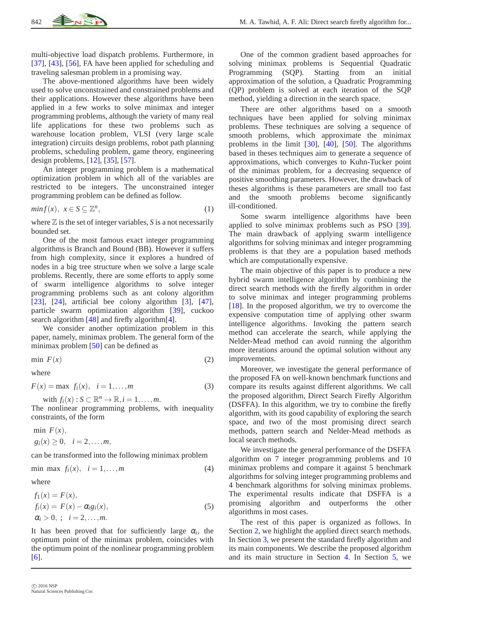multi-objective load dispatch problems. Furthermore, in [\[37\]](#page-18-9), [\[43\]](#page-18-7), [\[56\]](#page-18-10), FA have been applied for scheduling and traveling salesman problem in a promising way.

The above-mentioned algorithms have been widely used to solve unconstrained and constrained problems and their applications. However these algorithms have been applied in a few works to solve minimax and integer programming problems, although the variety of many real life applications for these two problems such as warehouse location problem, VLSI (very large scale integration) circuits design problems, robot path planning problems, scheduling problem, game theory, engineering design problems, [\[12\]](#page-17-12), [\[35\]](#page-18-11), [\[57\]](#page-18-12).

An integer programming problem is a mathematical optimization problem in which all of the variables are restricted to be integers. The unconstrained integer programming problem can be defined as follow.

$$
min f(x), \ \ x \in S \subseteq \mathbb{Z}^n,\tag{1}
$$

where  $\mathbb Z$  is the set of integer variables,  $S$  is a not necessarily bounded set.

One of the most famous exact integer programming algorithms is Branch and Bound (BB). However it suffers from high complexity, since it explores a hundred of nodes in a big tree structure when we solve a large scale problems. Recently, there are some efforts to apply some of swarm intelligence algorithms to solve integer programming problems such as ant colony algorithm [\[23\]](#page-17-13),  $[24]$ , artificial bee colony algorithm  $[3]$ ,  $[47]$ , particle swarm optimization algorithm [\[39\]](#page-18-14), cuckoo search algorithm [\[48\]](#page-18-15) and firefly algorithm[\[4\]](#page-17-16).

We consider another optimization problem in this paper, namely, minimax problem. The general form of the minimax problem [\[50\]](#page-18-16) can be defined as

$$
\min \, F(x) \tag{2}
$$

where

$$
F(x) = \max f_i(x), \quad i = 1, \dots, m
$$
 (3)

with  $f_i(x)$ :  $S \subset \mathbb{R}^n \to \mathbb{R}, i = 1, \ldots, m$ .

The nonlinear programming problems, with inequality constraints, of the form

min  $F(x)$ ,  $g_i(x) \geq 0, \quad i = 2, \ldots, m,$ 

can be transformed into the following minimax problem

<span id="page-1-0"></span>
$$
\min \max f_i(x), \quad i = 1, \dots, m \tag{4}
$$

where

<span id="page-1-1"></span>
$$
f_1(x) = F(x),
$$
  
\n
$$
f_i(x) = F(x) - \alpha_i g_i(x),
$$
  
\n
$$
\alpha_i > 0, \quad i = 2, ..., m.
$$
\n(5)

It has been proved that for sufficiently large  $\alpha_i$ , the optimum point of the minimax problem, coincides with the optimum point of the nonlinear programming problem [\[6\]](#page-17-17).

One of the common gradient based approaches for solving minimax problems is Sequential Quadratic Programming (SQP). Starting from an initial approximation of the solution, a Quadratic Programming (QP) problem is solved at each iteration of the SQP method, yielding a direction in the search space.

There are other algorithms based on a smooth techniques have been applied for solving minimax problems. These techniques are solving a sequence of smooth problems, which approximate the minimax problems in the limit [\[30\]](#page-18-17), [\[40\]](#page-18-18), [\[50\]](#page-18-16). The algorithms based in theses techniques aim to generate a sequence of approximations, which converges to Kuhn-Tucker point of the minimax problem, for a decreasing sequence of positive smoothing parameters. However, the drawback of theses algorithms is these parameters are small too fast and the smooth problems become significantly ill-conditioned.

Some swarm intelligence algorithms have been applied to solve minimax problems such as PSO [\[39\]](#page-18-14). The main drawback of applying swarm intelligence algorithms for solving minimax and integer programming problems is that they are a population based methods which are computationally expensive.

The main objective of this paper is to produce a new hybrid swarm intelligence algorithm by combining the direct search methods with the firefly algorithm in order to solve minimax and integer programming problems [\[18\]](#page-17-18). In the proposed algorithm, we try to overcome the expensive computation time of applying other swarm intelligence algorithms. Invoking the pattern search method can accelerate the search, while applying the Nelder-Mead method can avoid running the algorithm more iterations around the optimal solution without any improvements.

Moreover, we investigate the general performance of the proposed FA on well-known benchmark functions and compare its results against different algorithms. We call the proposed algorithm, Direct Search Firefly Algorithm (DSFFA). In this algorithm, we try to combine the firefly algorithm, with its good capability of exploring the search space, and two of the most promising direct search methods, pattern search and Nelder-Mead methods as local search methods.

We investigate the general performance of the DSFFA algorithm on 7 integer programming problems and 10 minimax problems and compare it against 5 benchmark algorithms for solving integer programming problems and 4 benchmark algorithms for solving minimax problems. The experimental results indicate that DSFFA is a promising algorithm and outperforms the other algorithms in most cases.

The rest of this paper is organized as follows. In Section [2,](#page-2-0) we highlight the applied direct search methods. In Section [3,](#page-3-0) we present the standard firefly algorithm and its main components. We describe the proposed algorithm and its main structure in Section [4.](#page-6-0) In Section [5,](#page-6-1) we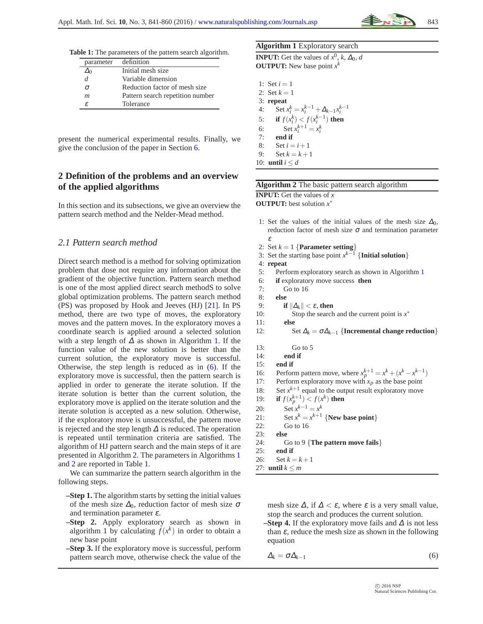<span id="page-2-4"></span>**Table 1:** The parameters of the pattern search algorithm.

| parameter | definition                       |
|-----------|----------------------------------|
|           | Initial mesh size                |
| d         | Variable dimension               |
| σ         | Reduction factor of mesh size.   |
| m         | Pattern search repetition number |
| £         | Tolerance                        |

present the numerical experimental results. Finally, we give the conclusion of the paper in Section [6.](#page-16-0)

# <span id="page-2-0"></span>**2 Definition of the problems and an overview of the applied algorithms**

In this section and its subsections, we give an overview the pattern search method and the Nelder-Mead method.

### *2.1 Pattern search method*

Direct search method is a method for solving optimization problem that dose not require any information about the gradient of the objective function. Pattern search method is one of the most applied direct search methodS to solve global optimization problems. The pattern search method (PS) was proposed by Hook and Jeeves (HJ) [\[21\]](#page-17-19). In PS method, there are two type of moves, the exploratory moves and the pattern moves. In the exploratory moves a coordinate search is applied around a selected solution with a step length of  $\Delta$  as shown in Algorithm [1.](#page-2-1) If the function value of the new solution is better than the current solution, the exploratory move is successful. Otherwise, the step length is reduced as in [\(6\)](#page-2-2). If the exploratory move is successful, then the pattern search is applied in order to generate the iterate solution. If the iterate solution is better than the current solution, the exploratory move is applied on the iterate solution and the iterate solution is accepted as a new solution. Otherwise, if the exploratory move is unsuccessful, the pattern move is rejected and the step length  $\Delta$  is reduced. The operation is repeated until termination criteria are satisfied. The algorithm of HJ pattern search and the main steps of it are presented in Algorithm [2.](#page-2-3) The parameters in Algorithms [1](#page-2-1) and [2](#page-2-3) are reported in Table [1.](#page-2-4)

We can summarize the pattern search algorithm in the following steps.

- **–Step 1.** The algorithm starts by setting the initial values of the mesh size  $\Delta_0$ , reduction factor of mesh size  $\sigma$ and termination parameter  $\varepsilon$ .
- **–Step 2.** Apply exploratory search as shown in algorithm [1](#page-2-1) by calculating  $f(x^k)$  in order to obtain a new base point
- **–Step 3.** If the exploratory move is successful, perform pattern search move, otherwise check the value of the

#### <span id="page-2-1"></span>**Algorithm 1** Exploratory search

**INPUT:** Get the values of  $x^0$ , *k*,  $\Delta_0$ , *d* **OUTPUT:** New base point  $x^k$ 

1: Set  $i = 1$ 2: Set  $k = 1$ 3: **repeat** 4: Set  $x_i^k = x_i^{k-1} + \Delta_{k-1} x_i^{k-1}$ 5: **if**  $f(x_i^k) < f(x_i^{k-1})$  **then** 6: Set  $x_i^{k+1} = x_i^k$ 7: **end if** 8: Set  $i = i + 1$ 9:  $\text{Set } k = k + 1$ 10: **until**  $i < d$ 

<span id="page-2-3"></span>

| Algorithm 2 The basic pattern search algorithm |  |  |  |  |
|------------------------------------------------|--|--|--|--|
|------------------------------------------------|--|--|--|--|

**INPUT:** Get the values of *x*

**OUTPUT:** best solution *x* ∗

- 1: Set the values of the initial values of the mesh size  $\Delta_0$ , reduction factor of mesh size  $\sigma$  and termination parameter ε
- 2: Set  $k = 1$  {**Parameter setting**}
- 3: Set the starting base point  $x^{k-1}$  {**Initial solution**}

4: **repeat**

- 5: Perform exploratory search as shown in Algorithm [1](#page-2-1)
- 6: **if** exploratory move success **then**

7: Go to 16

- 8: **else**
- 9: **if**  $\|\Delta_k\| < \varepsilon$ , then
- 10: Stop the search and the current point is *x* ∗
- 11: **else**
- 12: Set  $\Delta_k = \sigma \Delta_{k-1}$  {**Incremental change reduction**}
- 13: Go to 5
- 14: **end if**
- 15: **end if**
- 16: Perform pattern move, where  $x_p^{k+1} = x^k + (x^k x^{k-1})$
- 17: Perform exploratory move with  $x_p$  as the base point
- 18: Set  $x^{k+1}$  equal to the output result exploratory move
- 19: **if**  $f(x_p^{k+1}) < f(x^k)$  then
- 20: Set  $x^{k-1} = x^k$
- 21: Set  $x^k = x^{k+1}$  {**New base point**}
- 22: Go to 16
- 23: **else**
- 24: Go to 9 {**The pattern move fails**}
- 25: **end if**
- 26: Set  $k = k + 1$ 27: **until**  $k \le m$

mesh size  $\Delta$ , if  $\Delta < \varepsilon$ , where  $\varepsilon$  is a very small value, stop the search and produces the current solution.

**–Step 4.** If the exploratory move fails and  $\Delta$  is not less than  $\varepsilon$ , reduce the mesh size as shown in the following equation

```
\Delta_k = \sigma \Delta_{k-1} (6)
```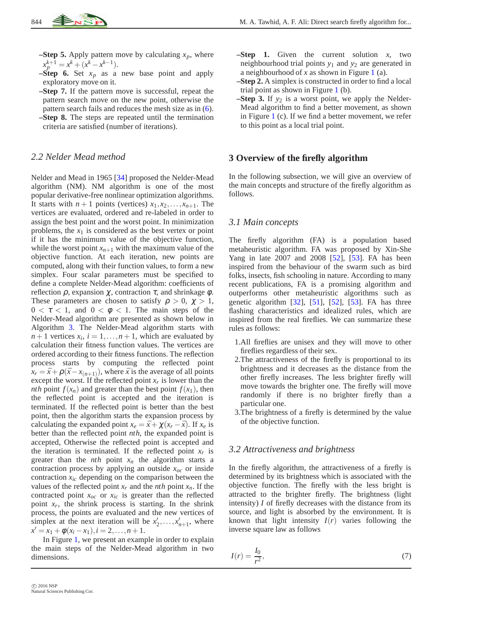- **–Step 5.** Apply pattern move by calculating  $x_p$ , where  $x_p^{k+1} = x^k + (x^k - x^{k-1}).$
- **–Step 6.** Set  $x_p$  as a new base point and apply exploratory move on it.
- **–Step 7.** If the pattern move is successful, repeat the pattern search move on the new point, otherwise the pattern search fails and reduces the mesh size as in [\(6\)](#page-2-2). **–Step 8.** The steps are repeated until the termination
- criteria are satisfied (number of iterations).

### *2.2 Nelder Mead method*

Nelder and Mead in 1965 [\[34\]](#page-18-19) proposed the Nelder-Mead algorithm (NM). NM algorithm is one of the most popular derivative-free nonlinear optimization algorithms. It starts with  $n+1$  points (vertices)  $x_1, x_2, \ldots, x_{n+1}$ . The vertices are evaluated, ordered and re-labeled in order to assign the best point and the worst point. In minimization problems, the  $x_1$  is considered as the best vertex or point if it has the minimum value of the objective function, while the worst point  $x_{n+1}$  with the maximum value of the objective function. At each iteration, new points are computed, along with their function values, to form a new simplex. Four scalar parameters must be specified to define a complete Nelder-Mead algorithm: coefficients of reflection  $ρ$ , expansion  $χ$ , contraction  $τ$ , and shrinkage  $φ$ . These parameters are chosen to satisfy  $\rho > 0$ ,  $\gamma > 1$ ,  $0 < \tau < 1$ , and  $0 < \phi < 1$ . The main steps of the Nelder-Mead algorithm are presented as shown below in Algorithm [3.](#page-5-0) The Nelder-Mead algorithm starts with  $n+1$  vertices  $x_i$ ,  $i = 1, ..., n+1$ , which are evaluated by calculation their fitness function values. The vertices are ordered according to their fitness functions. The reflection process starts by computing the reflected point  $x_r = \bar{x} + \rho(\bar{x} - x_{(n+1)})$ , where  $\bar{x}$  is the average of all points except the worst. If the reflected point  $x_r$  is lower than the *nth* point  $f(x_n)$  and greater than the best point  $f(x_1)$ , then the reflected point is accepted and the iteration is terminated. If the reflected point is better than the best point, then the algorithm starts the expansion process by calculating the expanded point  $x_e = \bar{x} + \chi(x_r - \bar{x})$ . If  $x_e$  is better than the reflected point *nth*, the expanded point is accepted, Otherwise the reflected point is accepted and the iteration is terminated. If the reflected point  $x_r$  is greater than the  $nth$  point  $x_n$  the algorithm starts a contraction process by applying an outside *xoc* or inside contraction *xic* depending on the comparison between the values of the reflected point  $x_r$  and the *nth* point  $x_n$ . If the contracted point *xoc* or *xic* is greater than the reflected point  $x_r$ , the shrink process is starting. In the shrink process, the points are evaluated and the new vertices of simplex at the next iteration will be  $x'_2, \ldots, x'_{n+1}$ , where  $x' = x_1 + \phi(x_i - x_1), i = 2, \ldots, n + 1.$ 

In Figure [1,](#page-4-0) we present an example in order to explain the main steps of the Nelder-Mead algorithm in two dimensions.

- **–Step 1.** Given the current solution *x*, two neighbourhood trial points  $y_1$  and  $y_2$  are generated in a neighbourhood of *x* as shown in Figure [1](#page-4-0) (a).
- **–Step 2.** A simplex is constructed in order to find a local trial point as shown in Figure [1](#page-4-0) (b).
- **–Step 3.** If  $y_2$  is a worst point, we apply the Nelder-Mead algorithm to find a better movement, as shown in Figure [1](#page-4-0) (c). If we find a better movement, we refer to this point as a local trial point.

### <span id="page-3-0"></span>**3 Overview of the firefly algorithm**

In the following subsection, we will give an overview of the main concepts and structure of the firefly algorithm as follows.

### *3.1 Main concepts*

The firefly algorithm (FA) is a population based metaheuristic algorithm. FA was proposed by Xin-She Yang in late 2007 and 2008 [\[52\]](#page-18-20), [\[53\]](#page-18-4). FA has been inspired from the behaviour of the swarm such as bird folks, insects, fish schooling in nature. According to many recent publications, FA is a promising algorithm and outperforms other metaheuristic algorithms such as genetic algorithm [\[32\]](#page-18-21), [\[51\]](#page-18-5), [\[52\]](#page-18-20), [\[53\]](#page-18-4). FA has three flashing characteristics and idealized rules, which are inspired from the real fireflies. We can summarize these rules as follows:

- 1.All fireflies are unisex and they will move to other fireflies regardless of their sex.
- 2.The attractiveness of the firefly is proportional to its brightness and it decreases as the distance from the other firefly increases. The less brighter firefly will move towards the brighter one. The firefly will move randomly if there is no brighter firefly than a particular one.
- 3.The brightness of a firefly is determined by the value of the objective function.

### *3.2 Attractiveness and brightness*

In the firefly algorithm, the attractiveness of a firefly is determined by its brightness which is associated with the objective function. The firefly with the less bright is attracted to the brighter firefly. The brightness (light intensity) *I* of firefly decreases with the distance from its source, and light is absorbed by the environment. It is known that light intensity  $I(r)$  varies following the inverse square law as follows

<span id="page-3-1"></span>
$$
I(r) = \frac{I_0}{r^2},\tag{7}
$$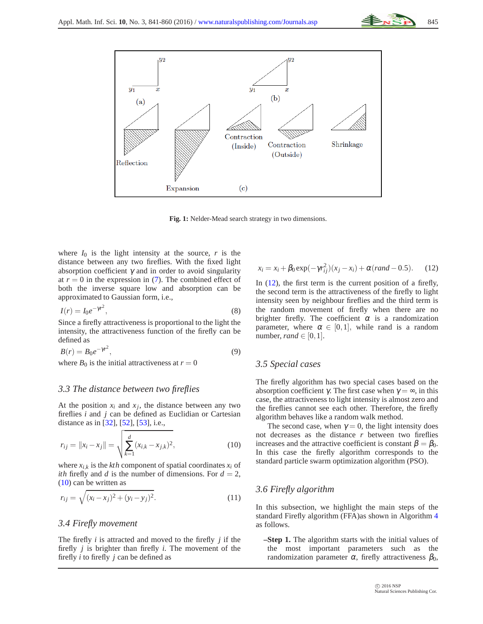

**Fig. 1:** Nelder-Mead search strategy in two dimensions.

<span id="page-4-0"></span>where  $I_0$  is the light intensity at the source,  $r$  is the distance between any two fireflies. With the fixed light absorption coefficient  $\gamma$  and in order to avoid singularity at  $r = 0$  in the expression in  $(7)$ . The combined effect of both the inverse square low and absorption can be approximated to Gaussian form, i.e.,

$$
I(r) = I_0 e^{-\gamma r^2},\tag{8}
$$

Since a firefly attractiveness is proportional to the light the intensity, the attractiveness function of the firefly can be defined as

<span id="page-4-3"></span>
$$
B(r) = B_0 e^{-\gamma r^2},\tag{9}
$$

where  $B_0$  is the initial attractiveness at  $r = 0$ 

### *3.3 The distance between two fireflies*

At the position  $x_i$  and  $x_j$ , the distance between any two fireflies *i* and *j* can be defined as Euclidian or Cartesian distance as in [\[32\]](#page-18-21), [\[52\]](#page-18-20), [\[53\]](#page-18-4), i.e.,

<span id="page-4-1"></span>
$$
r_{ij} = ||x_i - x_j|| = \sqrt{\sum_{k=1}^d (x_{i,k} - x_{j,k})^2},
$$
\n(10)

where  $x_{i,k}$  is the  $kth$  component of spatial coordinates  $x_i$  of *ith* firefly and *d* is the number of dimensions. For  $d = 2$ , [\(10\)](#page-4-1) can be written as

$$
r_{ij} = \sqrt{(x_i - x_j)^2 + (y_i - y_j)^2}.
$$
 (11)

### *3.4 Firefly movement*

The firefly *i* is attracted and moved to the firefly *j* if the firefly *j* is brighter than firefly *i*. The movement of the firefly *i* to firefly *j* can be defined as

<span id="page-4-2"></span>
$$
x_i = x_i + \beta_0 \exp(-\gamma r_{ij}^2)(x_j - x_i) + \alpha (rand - 0.5).
$$
 (12)

In  $(12)$ , the first term is the current position of a firefly, the second term is the attractiveness of the firefly to light intensity seen by neighbour fireflies and the third term is the random movement of firefly when there are no brighter firefly. The coefficient  $\alpha$  is a randomization parameter, where  $\alpha \in [0,1]$ , while rand is a random number, *rand*  $\in$  [0, 1].

### *3.5 Special cases*

The firefly algorithm has two special cases based on the absorption coefficient  $\gamma$ . The first case when  $\gamma = \infty$ , in this case, the attractiveness to light intensity is almost zero and the fireflies cannot see each other. Therefore, the firefly algorithm behaves like a random walk method.

The second case, when  $\gamma = 0$ , the light intensity does not decreases as the distance *r* between two fireflies increases and the attractive coefficient is constant  $\beta = \beta_0$ . In this case the firefly algorithm corresponds to the standard particle swarm optimization algorithm (PSO).

## *3.6 Firefly algorithm*

In this subsection, we highlight the main steps of the standard Firefly algorithm (FFA)as shown in Algorithm [4](#page-5-1) as follows.

**–Step 1.** The algorithm starts with the initial values of the most important parameters such as the randomization parameter  $\alpha$ , firefly attractiveness  $\beta_0$ ,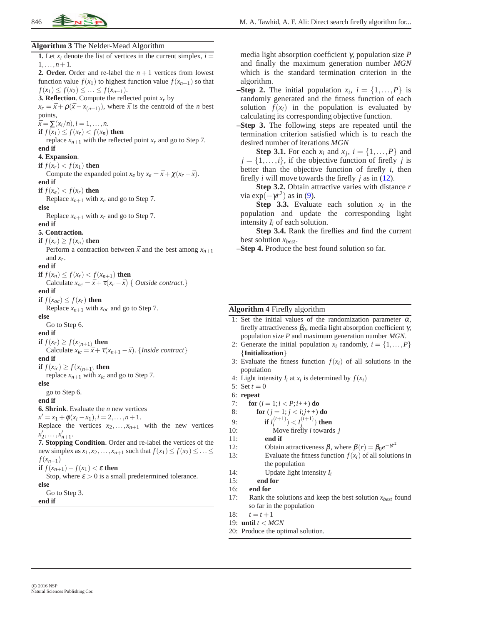

#### <span id="page-5-0"></span>**Algorithm 3** The Nelder-Mead Algorithm

**1.** Let  $x_i$  denote the list of vertices in the current simplex,  $i =$  $1, \ldots, n+1$ . **2. Order.** Order and re-label the  $n+1$  vertices from lowest function value  $f(x_1)$  to highest function value  $f(x_{n+1})$  so that  $f(x_1) \leq f(x_2) \leq \ldots \leq f(x_{n+1}).$ **3. Reflection**. Compute the reflected point  $x_r$  by  $x_r = \bar{x} + \rho(\bar{x} - x_{(n+1)})$ , where  $\bar{x}$  is the centroid of the *n* best points,  $\bar{x} = \sum (x_i/n), i = 1, \ldots, n.$ **if**  $f(x_1) \leq f(x_r) < f(x_n)$  **then** replace  $x_{n+1}$  with the reflected point  $x_r$  and go to Step 7. **end if 4. Expansion**. **if**  $f(x_r) < f(x_1)$  **then** Compute the expanded point  $x_e$  by  $x_e = \bar{x} + \chi(x_r - \bar{x})$ . **end if if**  $f(x_e) < f(x_r)$  **then** Replace  $x_{n+1}$  with  $x_e$  and go to Step 7. **else** Replace  $x_{n+1}$  with  $x_r$  and go to Step 7. **end if 5. Contraction. if**  $f(x_r) \geq f(x_n)$  **then** Perform a contraction between  $\bar{x}$  and the best among  $x_{n+1}$ and  $x_r$ . **end if if**  $f(x_n) \leq f(x_r) < f(x_{n+1})$  **then** Calculate  $x_{oc} = \bar{x} + \tau(x_r - \bar{x})$  { *Outside contract.*} **end if if**  $f(x_{oc}) \leq f(x_r)$  **then** Replace  $x_{n+1}$  with  $x_{oc}$  and go to Step 7. **else** Go to Step 6. **end if if**  $f(x_r) \geq f(x_{(n+1)})$  **then** Calculate  $x_{ic} = \bar{x} + \tau(x_{n+1} - \bar{x})$ . {*Inside contract*} **end if if**  $f(x_{ic}) \geq f(x_{(n+1)})$  **then** replace  $x_{n+1}$  with  $x_{ic}$  and go to Step 7. **else** go to Step 6. **end if 6. Shrink**. Evaluate the *n* new vertices  $x' = x_1 + \phi(x_i - x_1), i = 2, \ldots, n + 1.$ Replace the vertices  $x_2, \ldots, x_{n+1}$  with the new vertices  $x'_2, \ldots, x'_{n+1}$ . **7. Stopping Condition**. Order and re-label the vertices of the new simplex as  $x_1, x_2, \ldots, x_{n+1}$  such that  $f(x_1) \le f(x_2) \le \ldots \le f(x_n)$  $f(x_{n+1})$ **if**  $f(x_{n+1}) - f(x_1) < \varepsilon$  **then** Stop, where  $\varepsilon > 0$  is a small predetermined tolerance. **else** Go to Step 3. **end if**

media light absorption coefficient γ, population size *P* and finally the maximum generation number *MGN* which is the standard termination criterion in the algorithm.

**–Step 2.** The initial population  $x_i$ ,  $i = \{1, ..., P\}$  is randomly generated and the fitness function of each solution  $f(x_i)$  in the population is evaluated by calculating its corresponding objective function.

**–Step 3.** The following steps are repeated until the termination criterion satisfied which is to reach the desired number of iterations *MGN*

**Step 3.1.** For each  $x_i$  and  $x_j$ ,  $i = \{1, \ldots, P\}$  and  $j = \{1, \ldots, i\}$ , if the objective function of firefly *j* is better than the objective function of firefly *i*, then firefly *i* will move towards the firefly *j* as in [\(12\)](#page-4-2).

**Step 3.2.** Obtain attractive varies with distance *r* via  $\exp(-\gamma r^2)$  as in [\(9\)](#page-4-3).

**Step 3.3.** Evaluate each solution  $x_i$  in the population and update the corresponding light intensity *I<sup>i</sup>* of each solution.

**Step 3.4.** Rank the fireflies and find the current best solution *xbest* .

**–Step 4.** Produce the best found solution so far.

#### <span id="page-5-1"></span>**Algorithm 4** Firefly algorithm

|  |  |  | 1: Set the initial values of the randomization parameter $\alpha$ ,              |  |
|--|--|--|----------------------------------------------------------------------------------|--|
|  |  |  | firefly attractiveness $\beta_0$ , media light absorption coefficient $\gamma$ , |  |
|  |  |  | population size $P$ and maximum generation number $MGN$ .                        |  |

- 2: Generate the initial population  $x_i$  randomly,  $i = \{1, \ldots, P\}$ {**Initialization**}
- 3: Evaluate the fitness function  $f(x_i)$  of all solutions in the population
- 4: Light intensity  $I_i$  at  $x_i$  is determined by  $f(x_i)$

5: Set  $t = 0$ 

6: **repeat**

7: **for**  $(i = 1; i < P; i++)$  **do** 

8: **for**  $(j = 1; j < i; j++)$  **do** 

9: **if**  $I_i^{(t+1)}$ ) <  $I_j^{(t+1)}$ ) then

10: Move firefly *i* towards *j*

11: **end if**

- 12: Obtain attractiveness  $β$ , where  $β(r) = β_0e^{-\gamma r^2}$
- 13: Evaluate the fitness function  $f(x_i)$  of all solutions in the population

14: Update light intensity  $I_i$ <br>15: **end for** 

# end for

- 16: **end for**
- 17: Rank the solutions and keep the best solution *xbest* found so far in the population
- 18:  $t = t + 1$
- 19: **until** *t* < *MGN*
- 20: Produce the optimal solution.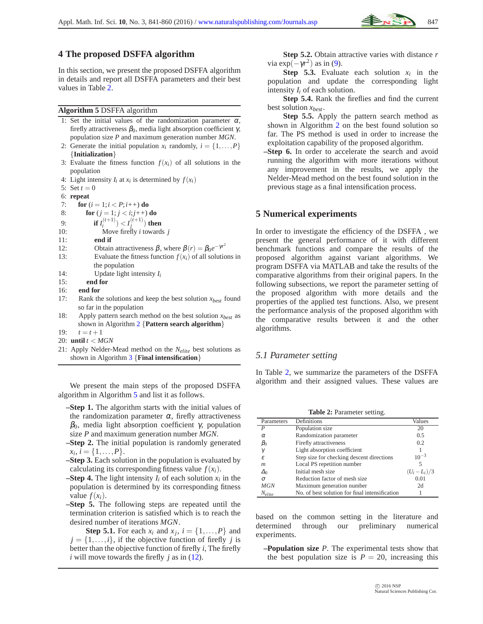## <span id="page-6-0"></span>**4 The proposed DSFFA algorithm**

In this section, we present the proposed DSFFA algorithm in details and report all DSFFA parameters and their best values in Table [2.](#page-6-2)

### <span id="page-6-3"></span>**Algorithm 5** DSFFA algorithm

- 1: Set the initial values of the randomization parameter  $\alpha$ , firefly attractiveness  $\beta_0$ , media light absorption coefficient  $\gamma$ , population size *P* and maximum generation number *MGN*.
- 2: Generate the initial population  $x_i$  randomly,  $i = \{1, ..., P\}$ {**Initialization**}
- 3: Evaluate the fitness function  $f(x_i)$  of all solutions in the population
- 4: Light intensity  $I_i$  at  $x_i$  is determined by  $f(x_i)$
- 5: Set  $t = 0$
- 6: **repeat**
- 7: **for**  $(i = 1; i < P; i++)$  **do**
- 8: **for**  $(j = 1; j < i; j++)$  **do**
- 9: **if**  $I_i^{(t+1)}$ ) <  $I_j^{(t+1)}$ ) then
- 10: Move firefly *i* towards *j*
- 11: **end if**
- 12: Obtain attractiveness  $β$ , where  $β(r) = β_0e^{-\gamma r^2}$
- 13: Evaluate the fitness function  $f(x_i)$  of all solutions in the population
- 14: Update light intensity  $I_i$ <br>15: **end for**
- end for
- 16: **end for**
- 17: Rank the solutions and keep the best solution *xbest* found so far in the population
- 18: Apply pattern search method on the best solution *xbest* as shown in Algorithm [2](#page-2-3) {**Pattern search algorithm**}
- 19:  $t = t + 1$
- 20: **until** *t* < *MGN*
- 21: Apply Nelder-Mead method on the *Nelite* best solutions as shown in Algorithm [3](#page-5-0) {**Final intensification**}

We present the main steps of the proposed DSFFA algorithm in Algorithm [5](#page-6-3) and list it as follows.

**–Step 1.** The algorithm starts with the initial values of the randomization parameter  $\alpha$ , firefly attractiveness  $β_0$ , media light absorption coefficient γ, population size *P* and maximum generation number *MGN*.

**–Step 2.** The initial population is randomly generated  $x_i, i = \{1, \ldots, P\}.$ 

- **–Step 3.** Each solution in the population is evaluated by calculating its corresponding fitness value  $f(x_i)$ .
- **–Step 4.** The light intensity  $I_i$  of each solution  $x_i$  in the population is determined by its corresponding fitness value  $f(x_i)$ .
- **–Step 5.** The following steps are repeated until the termination criterion is satisfied which is to reach the desired number of iterations *MGN*.

**Step 5.1.** For each  $x_i$  and  $x_j$ ,  $i = \{1, \ldots, P\}$  and  $j = \{1, \ldots, i\}$ , if the objective function of firefly *j* is better than the objective function of firefly *i*, The firefly  $i$  will move towards the firefly  $j$  as in [\(12\)](#page-4-2).

**Step 5.2.** Obtain attractive varies with distance *r* via  $\exp(-\gamma r^2)$  as in [\(9\)](#page-4-3).

**Step 5.3.** Evaluate each solution  $x_i$  in the population and update the corresponding light intensity *I<sup>i</sup>* of each solution.

**Step 5.4.** Rank the fireflies and find the current best solution *xbest* .

**Step 5.5.** Apply the pattern search method as shown in Algorithm [2](#page-2-3) on the best found solution so far. The PS method is used in order to increase the exploitation capability of the proposed algorithm.

**–Step 6.** In order to accelerate the search and avoid running the algorithm with more iterations without any improvement in the results, we apply the Nelder-Mead method on the best found solution in the previous stage as a final intensification process.

### <span id="page-6-1"></span>**5 Numerical experiments**

In order to investigate the efficiency of the DSFFA , we present the general performance of it with different benchmark functions and compare the results of the proposed algorithm against variant algorithms. We program DSFFA via MATLAB and take the results of the comparative algorithms from their original papers. In the following subsections, we report the parameter setting of the proposed algorithm with more details and the properties of the applied test functions. Also, we present the performance analysis of the proposed algorithm with the comparative results between it and the other algorithms.

### *5.1 Parameter setting*

In Table [2,](#page-6-2) we summarize the parameters of the DSFFA algorithm and their assigned values. These values are

**Table 2:** Parameter setting.

<span id="page-6-2"></span>

| Parameters | Definitions                                    | Values          |
|------------|------------------------------------------------|-----------------|
| P          | Population size                                | 20              |
| $\alpha$   | Randomization parameter                        | 0.5             |
| $p_0$      | Firefly attractiveness                         | 0.2             |
| γ          | Light absorption coefficient                   |                 |
| £.         | Step size for checking descent directions      | $10^{-3}$       |
| m          | Local PS repetition number                     |                 |
| Δ0         | Initial mesh size                              | $(U_i - L_i)/3$ |
| $\sigma$   | Reduction factor of mesh size                  | 0.01            |
| <b>MGN</b> | Maximum generation number                      | 2d              |
| Nelite     | No. of best solution for final intensification |                 |

based on the common setting in the literature and determined through our preliminary numerical experiments.

**–Population size** *P*. The experimental tests show that the best population size is  $P = 20$ , increasing this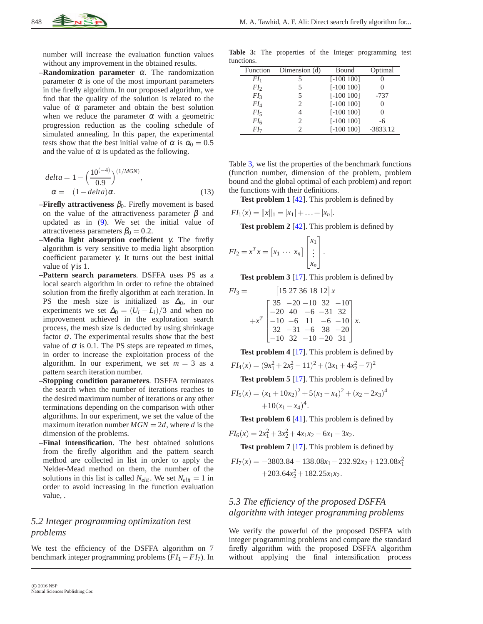number will increase the evaluation function values without any improvement in the obtained results.

**–Randomization parameter** <sup>α</sup>. The randomization parameter  $\alpha$  is one of the most important parameters in the firefly algorithm. In our proposed algorithm, we find that the quality of the solution is related to the value of  $\alpha$  parameter and obtain the best solution when we reduce the parameter  $\alpha$  with a geometric progression reduction as the cooling schedule of simulated annealing. In this paper, the experimental tests show that the best initial value of  $\alpha$  is  $\alpha_0 = 0.5$ and the value of  $\alpha$  is updated as the following.

$$
delta = 1 - \left(\frac{10^{(-4)}}{0.9}\right)^{(1/MGN)},
$$
  
\n
$$
\alpha = (1 - delta)\alpha.
$$
 (13)

- **–Firefly attractiveness**  $\beta_0$ . Firefly movement is based on the value of the attractiveness parameter  $\beta$  and updated as in [\(9\)](#page-4-3). We set the initial value of attractiveness parameters  $\beta_0 = 0.2$ .
- **–Media light absorption coefficient** γ. The firefly algorithm is very sensitive to media light absorption coefficient parameter γ. It turns out the best initial value of  $\gamma$  is 1.
- **–Pattern search parameters**. DSFFA uses PS as a local search algorithm in order to refine the obtained solution from the firefly algorithm at each iteration. In PS the mesh size is initialized as  $\Delta_0$ , in our experiments we set  $\Delta_0 = (U_i - L_i)/3$  and when no improvement achieved in the exploration search process, the mesh size is deducted by using shrinkage factor  $\sigma$ . The experimental results show that the best value of  $\sigma$  is 0.1. The PS steps are repeated *m* times, in order to increase the exploitation process of the algorithm. In our experiment, we set  $m = 3$  as a pattern search iteration number.
- **–Stopping condition parameters**. DSFFA terminates the search when the number of iterations reaches to the desired maximum number of iterations or any other terminations depending on the comparison with other algorithms. In our experiment, we set the value of the maximum iteration number  $MGN = 2d$ , where *d* is the dimension of the problems.
- **–Final intensification**. The best obtained solutions from the firefly algorithm and the pattern search method are collected in list in order to apply the Nelder-Mead method on them, the number of the solutions in this list is called  $N_{elit}$ . We set  $N_{elit} = 1$  in order to avoid increasing in the function evaluation value, .

# <span id="page-7-1"></span>*5.2 Integer programming optimization test problems*

We test the efficiency of the DSFFA algorithm on 7 benchmark integer programming problems (*FI*<sup>1</sup> −*FI*7). In

<span id="page-7-0"></span>**Table 3:** The properties of the Integer programming test functions.

| Function        | Dimension (d) | Bound        | Optimal    |
|-----------------|---------------|--------------|------------|
| $FI_1$          |               | $[-100 100]$ |            |
| $FI_{2}$        |               | $[-100100]$  |            |
| FI <sub>3</sub> |               | $[-100100]$  | $-737$     |
| $FI_4$          | 2             | $[-100 100]$ |            |
| FI              |               | $[-100100]$  |            |
| $FI_{6}$        | 2             | $[-100 100]$ | -6         |
| FІ7             |               | $[-100100]$  | $-3833.12$ |

Table [3,](#page-7-0) we list the properties of the benchmark functions (function number, dimension of the problem, problem bound and the global optimal of each problem) and report the functions with their definitions.

**Test problem 1** [\[42\]](#page-18-22). This problem is defined by

$$
FI_1(x) = ||x||_1 = |x_1| + \ldots + |x_n|.
$$

**Test problem 2** [\[42\]](#page-18-22). This problem is defined by

$$
FI_2 = x^T x = \begin{bmatrix} x_1 & \cdots & x_n \end{bmatrix} \begin{bmatrix} x_1 \\ \vdots \\ x_n \end{bmatrix}.
$$

**Test problem 3** [\[17\]](#page-17-20). This problem is defined by

$$
FI_3 = \begin{bmatrix} 15\ 27\ 36\ 18\ 12 \end{bmatrix} x
$$

$$
+x^T \begin{bmatrix} 35 & -20 & -10 & 32 & -10 \\ -20 & 40 & -6 & -31 & 32 \\ -10 & -6 & 11 & -6 & -10 \\ 32 & -31 & -6 & 38 & -20 \\ -10 & 32 & -10 & -20 & 31 \end{bmatrix} x.
$$

**Test problem 4** [\[17\]](#page-17-20). This problem is defined by

$$
FI_4(x) = (9x_1^2 + 2x_2^2 - 11)^2 + (3x_1 + 4x_2^2 - 7)^2
$$

**Test problem 5** [\[17\]](#page-17-20). This problem is defined by

$$
FI_5(x) = (x_1 + 10x_2)^2 + 5(x_3 - x_4)^2 + (x_2 - 2x_3)^4 + 10(x_1 - x_4)^4.
$$

**Test problem 6** [\[41\]](#page-18-23). This problem is defined by

$$
FI_6(x) = 2x_1^2 + 3x_2^2 + 4x_1x_2 - 6x_1 - 3x_2.
$$

**Test problem 7** [\[17\]](#page-17-20). This problem is defined by

$$
FI_7(x) = -3803.84 - 138.08x_1 - 232.92x_2 + 123.08x_1^2
$$
  
+203.64x<sub>2</sub><sup>2</sup> + 182.25x<sub>1</sub>x<sub>2</sub>.

# *5.3 The efficiency of the proposed DSFFA algorithm with integer programming problems*

We verify the powerful of the proposed DSFFA with integer programming problems and compare the standard firefly algorithm with the proposed DSFFA algorithm without applying the final intensification process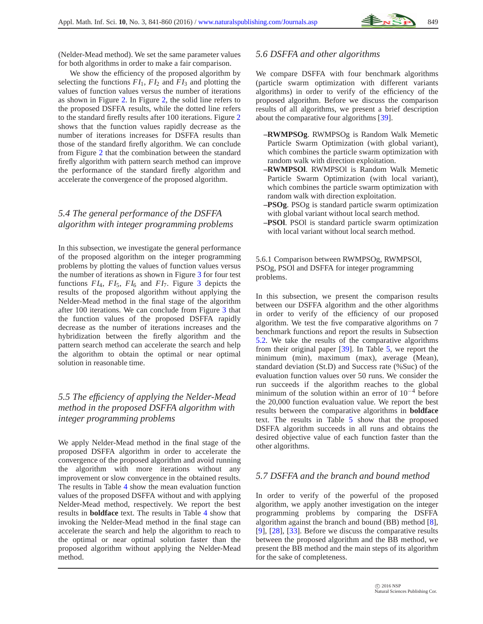(Nelder-Mead method). We set the same parameter values for both algorithms in order to make a fair comparison.

We show the efficiency of the proposed algorithm by selecting the functions  $FI_1$ ,  $FI_2$  and  $FI_3$  and plotting the values of function values versus the number of iterations as shown in Figure [2.](#page-9-0) In Figure [2,](#page-9-0) the solid line refers to the proposed DSFFA results, while the dotted line refers to the standard firefly results after 100 iterations. Figure [2](#page-9-0) shows that the function values rapidly decrease as the number of iterations increases for DSFFA results than those of the standard firefly algorithm. We can conclude from Figure [2](#page-9-0) that the combination between the standard firefly algorithm with pattern search method can improve the performance of the standard firefly algorithm and accelerate the convergence of the proposed algorithm.

# *5.4 The general performance of the DSFFA algorithm with integer programming problems*

In this subsection, we investigate the general performance of the proposed algorithm on the integer programming problems by plotting the values of function values versus the number of iterations as shown in Figure [3](#page-9-1) for four test functions  $FI_4$ ,  $FI_5$ ,  $FI_6$  and  $FI_7$ . Figure [3](#page-9-1) depicts the results of the proposed algorithm without applying the Nelder-Mead method in the final stage of the algorithm after 100 iterations. We can conclude from Figure [3](#page-9-1) that the function values of the proposed DSFFA rapidly decrease as the number of iterations increases and the hybridization between the firefly algorithm and the pattern search method can accelerate the search and help the algorithm to obtain the optimal or near optimal solution in reasonable time.

# *5.5 The efficiency of applying the Nelder-Mead method in the proposed DSFFA algorithm with integer programming problems*

We apply Nelder-Mead method in the final stage of the proposed DSFFA algorithm in order to accelerate the convergence of the proposed algorithm and avoid running the algorithm with more iterations without any improvement or slow convergence in the obtained results. The results in Table [4](#page-9-2) show the mean evaluation function values of the proposed DSFFA without and with applying Nelder-Mead method, respectively. We report the best results in **boldface** text. The results in Table [4](#page-9-2) show that invoking the Nelder-Mead method in the final stage can accelerate the search and help the algorithm to reach to the optimal or near optimal solution faster than the proposed algorithm without applying the Nelder-Mead method.

## *5.6 DSFFA and other algorithms*

We compare DSFFA with four benchmark algorithms (particle swarm optimization with different variants algorithms) in order to verify of the efficiency of the proposed algorithm. Before we discuss the comparison results of all algorithms, we present a brief description about the comparative four algorithms [\[39\]](#page-18-14).

- **–RWMPSOg**. RWMPSOg is Random Walk Memetic Particle Swarm Optimization (with global variant), which combines the particle swarm optimization with random walk with direction exploitation.
- **–RWMPSOl**. RWMPSOl is Random Walk Memetic Particle Swarm Optimization (with local variant), which combines the particle swarm optimization with random walk with direction exploitation.
- **–PSOg**. PSOg is standard particle swarm optimization with global variant without local search method.
- **–PSOl**. PSOl is standard particle swarm optimization with local variant without local search method.

5.6.1 Comparison between RWMPSOg, RWMPSOl, PSOg, PSOl and DSFFA for integer programming problems.

In this subsection, we present the comparison results between our DSFFA algorithm and the other algorithms in order to verify of the efficiency of our proposed algorithm. We test the five comparative algorithms on 7 benchmark functions and report the results in Subsection [5.2.](#page-7-1) We take the results of the comparative algorithms from their original paper [\[39\]](#page-18-14). In Table [5,](#page-10-0) we report the minimum (min), maximum (max), average (Mean), standard deviation (St.D) and Success rate (%Suc) of the evaluation function values over 50 runs. We consider the run succeeds if the algorithm reaches to the global minimum of the solution within an error of  $10^{-4}$  before the 20,000 function evaluation value. We report the best results between the comparative algorithms in **boldface** text. The results in Table [5](#page-10-0) show that the proposed DSFFA algorithm succeeds in all runs and obtains the desired objective value of each function faster than the other algorithms.

### *5.7 DSFFA and the branch and bound method*

In order to verify of the powerful of the proposed algorithm, we apply another investigation on the integer programming problems by comparing the DSFFA algorithm against the branch and bound (BB) method [\[8\]](#page-17-21), [\[9\]](#page-17-22), [\[28\]](#page-18-24), [\[33\]](#page-18-25). Before we discuss the comparative results between the proposed algorithm and the BB method, we present the BB method and the main steps of its algorithm for the sake of completeness.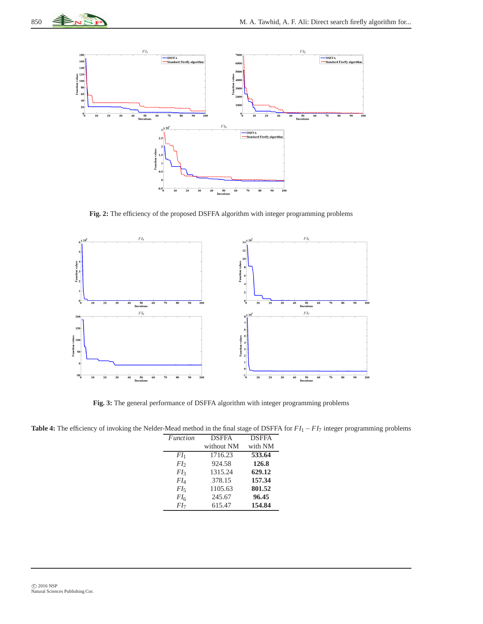

**Fig. 2:** The efficiency of the proposed DSFFA algorithm with integer programming problems

<span id="page-9-0"></span>

**Fig. 3:** The general performance of DSFFA algorithm with integer programming problems

<span id="page-9-2"></span><span id="page-9-1"></span>**Table 4:** The efficiency of invoking the Nelder-Mead method in the final stage of DSFFA for *FI*<sup>1</sup> −*FI*<sup>7</sup> integer programming problems

| <i>Function</i> | <b>DSFFA</b> | <b>DSFFA</b> |
|-----------------|--------------|--------------|
|                 | without NM   | with NM      |
| $FI_1$          | 1716.23      | 533.64       |
| FI <sub>2</sub> | 924.58       | 126.8        |
| FI <sub>3</sub> | 1315.24      | 629.12       |
| $FI_{4}$        | 378.15       | 157.34       |
| $FI_{5}$        | 1105.63      | 801.52       |
| FI <sub>6</sub> | 245.67       | 96.45        |
| FI <sub>7</sub> | 615.47       | 154.84       |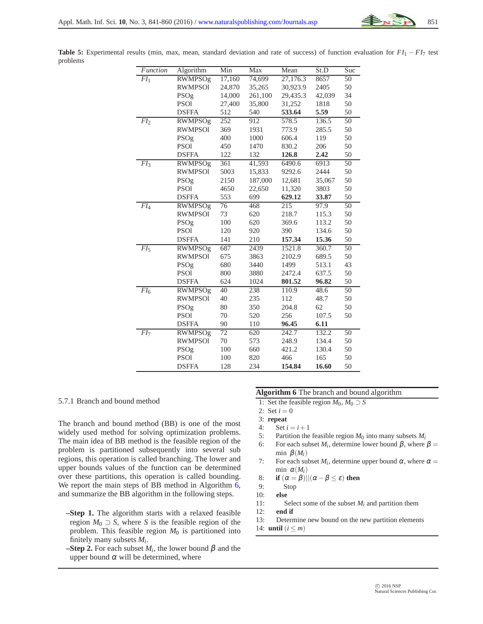| Function            | Algorithm      | Min             | $\overline{Max}$ | Mean     | St.D   | Suc             |
|---------------------|----------------|-----------------|------------------|----------|--------|-----------------|
| FI <sub>1</sub>     | <b>RWMPSOg</b> | 17,160          | 74,699           | 27,176.3 | 8657   | 50              |
|                     | <b>RWMPSO1</b> | 24,870          | 35,265           | 30,923.9 | 2405   | 50              |
|                     | PSOg           | 14,000          | 261,100          | 29,435.3 | 42,039 | 34              |
|                     | <b>PSO1</b>    | 27,400          | 35,800           | 31,252   | 1818   | 50              |
|                     | <b>DSFFA</b>   | 512             | 540              | 533.64   | 5.59   | 50              |
| FI <sub>2</sub>     | <b>RWMPSOg</b> | 252             | 912              | 578.5    | 136.5  | $\overline{50}$ |
|                     | <b>RWMPSO1</b> | 369             | 1931             | 773.9    | 285.5  | 50              |
|                     | PSOg           | 400             | 1000             | 606.4    | 119    | 50              |
|                     | <b>PSO1</b>    | 450             | 1470             | 830.2    | 206    | 50              |
|                     | <b>DSFFA</b>   | 122             | 132              | 126.8    | 2.42   | 50              |
| $\overline{FI_3}$   | <b>RWMPSOg</b> | 361             | 41,593           | 6490.6   | 6913   | $\overline{50}$ |
|                     | <b>RWMPSO1</b> | 5003            | 15,833           | 9292.6   | 2444   | 50              |
|                     | PSOg           | 2150            | 187,000          | 12,681   | 35,067 | 50              |
|                     | <b>PSO1</b>    | 4650            | 22,650           | 11,320   | 3803   | 50              |
|                     | <b>DSFFA</b>   | 553             | 699              | 629.12   | 33.87  | 50              |
| $\overline{FI_4}$   | <b>RWMPSOg</b> | $\overline{76}$ | 468              | 215      | 97.9   | $\overline{50}$ |
|                     | <b>RWMPSO1</b> | 73              | 620              | 218.7    | 115.3  | 50              |
|                     | PSOg           | 100             | 620              | 369.6    | 113.2  | 50              |
|                     | <b>PSO1</b>    | 120             | 920              | 390      | 134.6  | 50              |
|                     | <b>DSFFA</b>   | 141             | 210              | 157.34   | 15.36  | 50              |
| $\overline{FI}_{5}$ | RWMPSOg        | 687             | 2439             | 1521.8   | 360.7  | 50              |
|                     | <b>RWMPSO1</b> | 675             | 3863             | 2102.9   | 689.5  | 50              |
|                     | PSOg           | 680             | 3440             | 1499     | 513.1  | 43              |
|                     | <b>PSO1</b>    | 800             | 3880             | 2472.4   | 637.5  | 50              |
|                     | <b>DSFFA</b>   | 624             | 1024             | 801.52   | 96.82  | 50              |
| $FI_6$              | <b>RWMPSOg</b> | 40              | 238              | 110.9    | 48.6   | 50              |
|                     | <b>RWMPSO1</b> | 40              | 235              | 112      | 48.7   | 50              |
|                     | PSOg           | 80              | 350              | 204.8    | 62     | 50              |
|                     | <b>PSO1</b>    | 70              | 520              | 256      | 107.5  | 50              |
|                     | <b>DSFFA</b>   | 90              | 110              | 96.45    | 6.11   |                 |
| $\overline{FI_7}$   | <b>RWMPSOg</b> | 72              | 620              | 242.7    | 132.2  | 50              |
|                     | <b>RWMPSO1</b> | 70              | 573              | 248.9    | 134.4  | 50              |
|                     | PSOg           | 100             | 660              | 421.2    | 130.4  | 50              |
|                     | <b>PSO1</b>    | 100             | 820              | 466      | 165    | 50              |
|                     | <b>DSFFA</b>   | 128             | 234              | 154.84   | 16.60  | 50              |

<span id="page-10-0"></span>**Table 5:** Experimental results (min, max, mean, standard deviation and rate of success) of function evaluation for *FI*<sup>1</sup> − *FI*<sup>7</sup> test problems

#### 5.7.1 Branch and bound method

The branch and bound method (BB) is one of the most widely used method for solving optimization problems. The main idea of BB method is the feasible region of the problem is partitioned subsequently into several sub regions, this operation is called branching. The lower and upper bounds values of the function can be determined over these partitions, this operation is called bounding. We report the main steps of BB method in Algorithm [6,](#page-10-1) and summarize the BB algorithm in the following steps.

- **–Step 1.** The algorithm starts with a relaxed feasible region  $M_0 \supset S$ , where *S* is the feasible region of the problem. This feasible region  $M_0$  is partitioned into finitely many subsets *M<sup>i</sup>* .
- **–Step 2.** For each subset  $M_i$ , the lower bound  $\beta$  and the upper bound  $\alpha$  will be determined, where

### **Algorithm 6** The branch and bound algorithm

- <span id="page-10-1"></span>1: Set the feasible region  $M_0, M_0 \supset S$
- 2: Set  $i = 0$
- 3: **repeat**
- 4: Set  $i = i + 1$
- 5: Partition the feasible region  $M_0$  into many subsets  $M_i$
- 6: For each subset  $M_i$ , determine lower bound  $\beta$ , where  $\beta =$ min  $\beta(M_i)$
- 7: For each subset  $M_i$ , determine upper bound  $\alpha$ , where  $\alpha =$ min  $\alpha(M_i)$
- 8: **if**  $(\alpha = \beta) || (\alpha \beta \le \varepsilon)$  then
- 9: Stop
- 10: **else**
- 11: Select some of the subset  $M_i$  and partition them 12: **end if**
- end if
- 13: Determine new bound on the new partition elements
- 14: **until**  $(i \leq m)$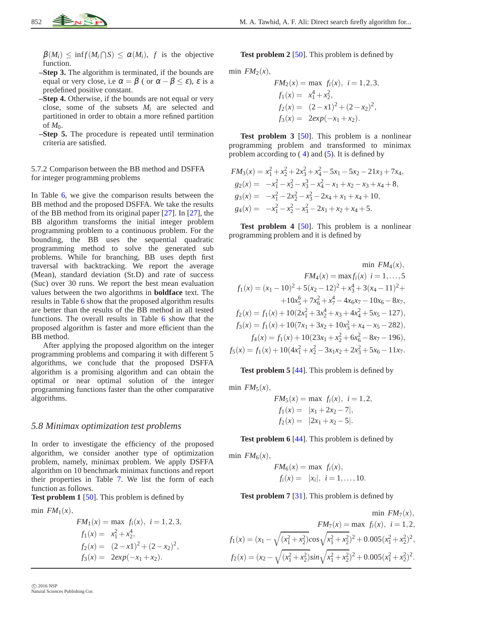$\beta(M_i) \le \inf f(M_i \cap S) \le \alpha(M_i)$ , f is the objective function.

- **–Step 3.** The algorithm is terminated, if the bounds are equal or very close, i.e  $\alpha = \beta$  ( or  $\alpha - \beta \leq \varepsilon$ ),  $\varepsilon$  is a predefined positive constant.
- **–Step 4.** Otherwise, if the bounds are not equal or very close, some of the subsets *M<sup>i</sup>* are selected and partitioned in order to obtain a more refined partition of  $M_0$ .
- **–Step 5.** The procedure is repeated until termination criteria are satisfied.

#### 5.7.2 Comparison between the BB method and DSFFA for integer programming problems

In Table [6,](#page-12-0) we give the comparison results between the BB method and the proposed DSFFA. We take the results of the BB method from its original paper [\[27\]](#page-17-23). In [\[27\]](#page-17-23), the BB algorithm transforms the initial integer problem programming problem to a continuous problem. For the bounding, the BB uses the sequential quadratic programming method to solve the generated sub problems. While for branching, BB uses depth first traversal with backtracking. We report the average (Mean), standard deviation (St.D) and rate of success (Suc) over 30 runs. We report the best mean evaluation values between the two algorithms in **boldface** text. The results in Table [6](#page-12-0) show that the proposed algorithm results are better than the results of the BB method in all tested functions. The overall results in Table [6](#page-12-0) show that the proposed algorithm is faster and more efficient than the BB method.

After applying the proposed algorithm on the integer programming problems and comparing it with different 5 algorithms, we conclude that the proposed DSFFA algorithm is a promising algorithm and can obtain the optimal or near optimal solution of the integer programming functions faster than the other comparative algorithms.

#### <span id="page-11-0"></span>*5.8 Minimax optimization test problems*

In order to investigate the efficiency of the proposed algorithm, we consider another type of optimization problem, namely, minimax problem. We apply DSFFA algorithm on 10 benchmark minimax functions and report their properties in Table [7.](#page-12-1) We list the form of each function as follows.

**Test problem 1** [\[50\]](#page-18-16). This problem is defined by

min  $FM<sub>1</sub>(x)$ ,

$$
FM_1(x) = \max f_i(x), \quad i = 1, 2, 3,
$$
  
\n
$$
f_1(x) = x_1^2 + x_2^4,
$$
  
\n
$$
f_2(x) = (2 - x_1)^2 + (2 - x_2)^2,
$$
  
\n
$$
f_3(x) = 2exp(-x_1 + x_2).
$$

**Test problem 2** [\[50\]](#page-18-16). This problem is defined by

$$
\min \, FM_2(x),
$$

$$
FM2(x) = \max fi(x), i = 1, 2, 3,f1(x) = x14 + x22,f2(x) = (2-x1)2 + (2-x2)2,f3(x) = 2exp(-x1 + x2).
$$

**Test problem 3** [\[50\]](#page-18-16). This problem is a nonlinear programming problem and transformed to minimax problem according to  $(4)$  $(4)$  and  $(5)$ . It is defined by

$$
FM_3(x) = x_1^2 + x_2^2 + 2x_3^2 + x_4^2 - 5x_1 - 5x_2 - 21x_3 + 7x_4,
$$
  
\n
$$
g_2(x) = -x_1^2 - x_2^2 - x_3^3 - x_4^2 - x_1 + x_2 - x_3 + x_4 + 8,
$$
  
\n
$$
g_3(x) = -x_1^2 - 2x_2^2 - x_3^2 - 2x_4 + x_1 + x_4 + 10,
$$
  
\n
$$
g_4(x) = -x_1^2 - x_2^2 - x_3^2 - 2x_1 + x_2 + x_4 + 5.
$$

**Test problem 4** [\[50\]](#page-18-16). This problem is a nonlinear programming problem and it is defined by

$$
\min FM_4(x),
$$
  
\n
$$
FM_4(x) = \max f_i(x) \quad i = 1, ..., 5
$$
  
\n
$$
f_1(x) = (x_1 - 10)^2 + 5(x_2 - 12)^2 + x_3^4 + 3(x_4 - 11)^2 +
$$
  
\n
$$
+ 10x_5^6 + 7x_6^2 + x_7^4 - 4x_6x_7 - 10x_6 - 8x_7,
$$
  
\n
$$
f_2(x) = f_1(x) + 10(2x_1^2 + 3x_2^4 + x_3 + 4x_4^2 + 5x_5 - 127),
$$
  
\n
$$
f_3(x) = f_1(x) + 10(7x_1 + 3x_2 + 10x_3^2 + x_4 - x_5 - 282),
$$
  
\n
$$
f_4(x) = f_1(x) + 10(23x_1 + x_2^2 + 6x_6^2 - 8x_7 - 196),
$$
  
\n
$$
f_5(x) = f_1(x) + 10(4x_1^2 + x_2^2 - 3x_1x_2 + 2x_3^2 + 5x_6 - 11x_7.
$$

**Test problem 5** [\[44\]](#page-18-26). This problem is defined by

min  $FM<sub>5</sub>(x)$ ,

$$
FM_5(x) = \max f_i(x), i = 1, 2,
$$
  
\n
$$
f_1(x) = |x_1 + 2x_2 - 7|,
$$
  
\n
$$
f_2(x) = |2x_1 + x_2 - 5|.
$$

**Test problem 6** [\[44\]](#page-18-26). This problem is defined by

min  $FM<sub>6</sub>(x)$ ,

$$
FM_6(x) = \max f_i(x),
$$
  
\n $f_i(x) = |x_i|, i = 1,..., 10.$ 

**Test problem 7** [\[31\]](#page-18-27). This problem is defined by

$$
\min F M_7(x),
$$
  
\n
$$
FM_7(x) = \max f_i(x), \quad i = 1, 2,
$$
  
\n
$$
f_1(x) = (x_1 - \sqrt{(x_1^2 + x_2^2)} cos \sqrt{x_1^2 + x_2^2})^2 + 0.005(x_1^2 + x_2^2)^2,
$$
  
\n
$$
f_2(x) = (x_2 - \sqrt{(x_1^2 + x_2^2)} sin \sqrt{x_1^2 + x_2^2})^2 + 0.005(x_1^2 + x_2^2)^2.
$$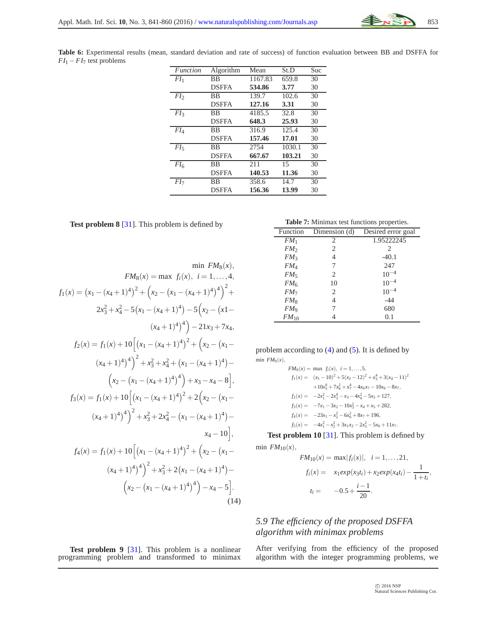<span id="page-12-0"></span>**Table 6:** Experimental results (mean, standard deviation and rate of success) of function evaluation between BB and DSFFA for *FI*<sup>1</sup> −*FI*<sup>7</sup> test problems

| Function        | Algorithm    | Mean    | St.D   | Suc |
|-----------------|--------------|---------|--------|-----|
| FI <sub>1</sub> | <b>BB</b>    | 1167.83 | 659.8  | 30  |
|                 | <b>DSFFA</b> | 534.86  | 3.77   | 30  |
| FI <sub>2</sub> | <b>BB</b>    | 139.7   | 102.6  | 30  |
|                 | <b>DSFFA</b> | 127.16  | 3.31   | 30  |
| FI <sub>3</sub> | <b>BB</b>    | 4185.5  | 32.8   | 30  |
|                 | <b>DSFFA</b> | 648.3   | 25.93  | 30  |
| $FI_{4}$        | <b>BB</b>    | 316.9   | 125.4  | 30  |
|                 | <b>DSFFA</b> | 157.46  | 17.01  | 30  |
| FI              | BB           | 2754    | 1030.1 | 30  |
|                 | <b>DSFFA</b> | 667.67  | 103.21 | 30  |
| FI <sub>6</sub> | <b>BB</b>    | 211     | 15     | 30  |
|                 | <b>DSFFA</b> | 140.53  | 11.36  | 30  |
| FI <sub>7</sub> | BB           | 358.6   | 14.7   | 30  |
|                 | <b>DSFFA</b> | 156.36  | 13.99  | 30  |

**Test problem 8** [\[31\]](#page-18-27). This problem is defined by

$$
\min F M_8(x) = \max f_i(x), \quad i = 1, ..., 4,
$$
  
\n
$$
f_1(x) = (x_1 - (x_4 + 1)^4)^2 + (x_2 - (x_1 - (x_4 + 1)^4)^4)^2 + (x_3 - (x_4 - 1)^4) - 5(x_2 - (x_1 - (x_4 + 1)^4) - 21x_3 + 7x_4,
$$
  
\n
$$
f_2(x) = f_1(x) + 10 \left[ (x_1 - (x_4 + 1)^4)^2 + (x_2 - (x_1 - (x_4 + 1)^4)^2) + (x_3 - (x_4 - 1)^4) + 2x_3 + x_4^2 + (x_1 - (x_4 + 1)^4) - (x_2 - (x_1 - (x_4 + 1)^4)^4) + x_3 - x_4 - 8 \right],
$$
  
\n
$$
f_3(x) = f_1(x) + 10 \left[ (x_1 - (x_4 + 1)^4)^2 + 2(x_2 - (x_1 - (x_4 + 1)^4)^4) + x_3^2 + 2x_4^2 - (x_1 - (x_4 + 1)^4) - x_4 - 10 \right],
$$
  
\n
$$
f_4(x) = f_1(x) + 10 \left[ (x_1 - (x_4 + 1)^4)^2 + (x_2 - (x_1 - (x_4 + 1)^4) - x_4 - 10) \right],
$$
  
\n
$$
f_4(x) = f_1(x) + 10 \left[ (x_1 - (x_4 + 1)^4)^2 + (x_2 - (x_1 - (x_4 + 1)^4) - (x_2 - (x_1 - (x_4 + 1)^4)^4) - x_4 - 5 \right].
$$
  
\n(14)

**Table 7:** Minimax test functions properties.

<span id="page-12-1"></span>

| Function        | $\overline{\text{Dimension}}$ (d) | Desired error goal |
|-----------------|-----------------------------------|--------------------|
| FM <sub>1</sub> | 2                                 | 1.95222245         |
| FM <sub>2</sub> | 2                                 | 2                  |
| FM <sub>3</sub> | 4                                 | $-40.1$            |
| FM <sub>4</sub> | 7                                 | 247                |
| $FM_5$          | 2                                 | $10^{-4}$          |
| FM <sub>6</sub> | 10                                | $10^{-4}$          |
| FM <sub>7</sub> | 2                                 | $10^{-4}$          |
| $FM_{8}$        | 4                                 | $-44$              |
| $FM_{9}$        | 7                                 | 680                |
| $FM_{10}$       |                                   | 0.1                |

problem according to  $(4)$  and  $(5)$ . It is defined by min  $FM<sub>9</sub>(x)$ ,

$$
FM_9(x) = \max f_i(x), \quad i = 1, ..., 5,
$$
  
\n
$$
f_1(x) = (x_1 - 10)^2 + 5(x_2 - 12)^2 + x_3^4 + 3(x_4 - 11)^2
$$
  
\n
$$
+10x_5^6 + 7x_6^2 + x_7^4 - 4x_6x_7 - 10x_6 - 8x_7,
$$
  
\n
$$
f_2(x) = -2x_1^2 - 2x_3^4 - x_3 - 4x_4^2 - 5x_5 + 127,
$$
  
\n
$$
f_3(x) = -7x_1 - 3x_2 - 10x_3^2 - x_4 + x_5 + 282,
$$
  
\n
$$
f_4(x) = -23x_1 - x_2^2 - 6x_6^2 + 8x_7 + 196,
$$
  
\n
$$
f_5(x) = -4x_1^2 - x_2^2 + 3x_1x_2 - 2x_3^2 - 5x_6 + 11x_7.
$$

**Test problem 10** [\[31\]](#page-18-27). This problem is defined by min  $FM_{10}(x)$ ,

$$
FM_{10}(x) = \max |f_i(x)|, \quad i = 1, ..., 21,
$$
  
\n
$$
f_i(x) = x_1 exp(x_3 t_i) + x_2 exp(x_4 t_i) - \frac{1}{1+t_i},
$$
  
\n
$$
t_i = -0.5 + \frac{i-1}{20}.
$$

# *5.9 The efficiency of the proposed DSFFA algorithm with minimax problems*

After verifying from the efficiency of the proposed algorithm with the integer programming problems, we

**Test problem 9** [\[31\]](#page-18-27). This problem is a nonlinear programming problem and transformed to minimax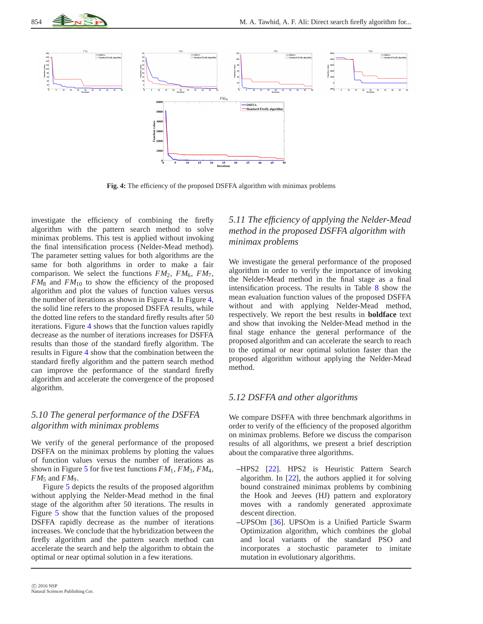



**Fig. 4:** The efficiency of the proposed DSFFA algorithm with minimax problems

<span id="page-13-0"></span>investigate the efficiency of combining the firefly algorithm with the pattern search method to solve minimax problems. This test is applied without invoking the final intensification process (Nelder-Mead method). The parameter setting values for both algorithms are the same for both algorithms in order to make a fair comparison. We select the functions  $FM_2$ ,  $FM_6$ ,  $FM_7$ ,  $FM_8$  and  $FM_{10}$  to show the efficiency of the proposed algorithm and plot the values of function values versus the number of iterations as shown in Figure [4.](#page-13-0) In Figure [4,](#page-13-0) the solid line refers to the proposed DSFFA results, while the dotted line refers to the standard firefly results after 50 iterations. Figure [4](#page-13-0) shows that the function values rapidly decrease as the number of iterations increases for DSFFA results than those of the standard firefly algorithm. The results in Figure [4](#page-13-0) show that the combination between the standard firefly algorithm and the pattern search method can improve the performance of the standard firefly algorithm and accelerate the convergence of the proposed algorithm.

# *5.10 The general performance of the DSFFA algorithm with minimax problems*

We verify of the general performance of the proposed DSFFA on the minimax problems by plotting the values of function values versus the number of iterations as shown in Figure [5](#page-14-0) for five test functions  $FM_1$ ,  $FM_3$ ,  $FM_4$ ,  $FM_5$  and  $FM_9$ .

Figure [5](#page-14-0) depicts the results of the proposed algorithm without applying the Nelder-Mead method in the final stage of the algorithm after 50 iterations. The results in Figure [5](#page-14-0) show that the function values of the proposed DSFFA rapidly decrease as the number of iterations increases. We conclude that the hybridization between the firefly algorithm and the pattern search method can accelerate the search and help the algorithm to obtain the optimal or near optimal solution in a few iterations.

# *5.11 The efficiency of applying the Nelder-Mead method in the proposed DSFFA algorithm with minimax problems*

We investigate the general performance of the proposed algorithm in order to verify the importance of invoking the Nelder-Mead method in the final stage as a final intensification process. The results in Table [8](#page-14-1) show the mean evaluation function values of the proposed DSFFA without and with applying Nelder-Mead method, respectively. We report the best results in **boldface** text and show that invoking the Nelder-Mead method in the final stage enhance the general performance of the proposed algorithm and can accelerate the search to reach to the optimal or near optimal solution faster than the proposed algorithm without applying the Nelder-Mead method.

# *5.12 DSFFA and other algorithms*

We compare DSFFA with three benchmark algorithms in order to verify of the efficiency of the proposed algorithm on minimax problems. Before we discuss the comparison results of all algorithms, we present a brief description about the comparative three algorithms.

- **–**HPS2 [\[22\]](#page-17-24). HPS2 is Heuristic Pattern Search algorithm. In [\[22\]](#page-17-24), the authors applied it for solving bound constrained minimax problems by combining the Hook and Jeeves (HJ) pattern and exploratory moves with a randomly generated approximate descent direction.
- **–**UPSOm [\[36\]](#page-18-28). UPSOm is a Unified Particle Swarm Optimization algorithm, which combines the global and local variants of the standard PSO and incorporates a stochastic parameter to imitate mutation in evolutionary algorithms.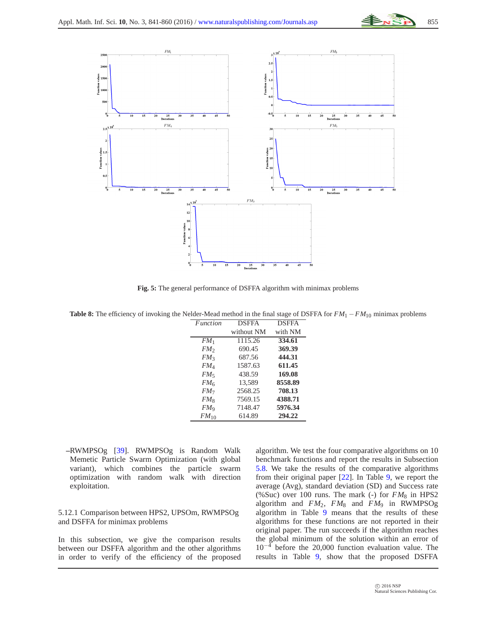

**Fig. 5:** The general performance of DSFFA algorithm with minimax problems

<span id="page-14-1"></span><span id="page-14-0"></span>**Table 8:** The efficiency of invoking the Nelder-Mead method in the final stage of DSFFA for *FM*<sup>1</sup> −*FM*<sup>10</sup> minimax problems

| <b>Function</b> | <b>DSFFA</b> | <b>DSFFA</b> |
|-----------------|--------------|--------------|
|                 | without NM   | with NM      |
| FM <sub>1</sub> | 1115.26      | 334.61       |
| FM <sub>2</sub> | 690.45       | 369.39       |
| FM <sub>3</sub> | 687.56       | 444.31       |
| FM <sub>4</sub> | 1587.63      | 611.45       |
| $FM_5$          | 438.59       | 169.08       |
| FM <sub>6</sub> | 13,589       | 8558.89      |
| FM <sub>7</sub> | 2568.25      | 708.13       |
| $FM_8$          | 7569.15      | 4388.71      |
| $FM_{9}$        | 7148.47      | 5976.34      |
| $FM_{10}$       | 614.89       | 294.22       |
|                 |              |              |

**–**RWMPSOg [\[39\]](#page-18-14). RWMPSOg is Random Walk Memetic Particle Swarm Optimization (with global variant), which combines the particle swarm optimization with random walk with direction exploitation.

5.12.1 Comparison between HPS2, UPSOm, RWMPSOg and DSFFA for minimax problems

In this subsection, we give the comparison results between our DSFFA algorithm and the other algorithms in order to verify of the efficiency of the proposed algorithm. We test the four comparative algorithms on 10 benchmark functions and report the results in Subsection [5.8.](#page-11-0) We take the results of the comparative algorithms from their original paper [\[22\]](#page-17-24). In Table [9,](#page-15-0) we report the average (Avg), standard deviation (SD) and Success rate (%Suc) over 100 runs. The mark (-) for  $FM_8$  in HPS2 algorithm and *FM*2, *FM*<sup>8</sup> and *FM*<sup>9</sup> in RWMPSOg algorithm in Table [9](#page-15-0) means that the results of these algorithms for these functions are not reported in their original paper. The run succeeds if the algorithm reaches the global minimum of the solution within an error of  $10^{-4}$  before the 20,000 function evaluation value. The results in Table [9,](#page-15-0) show that the proposed DSFFA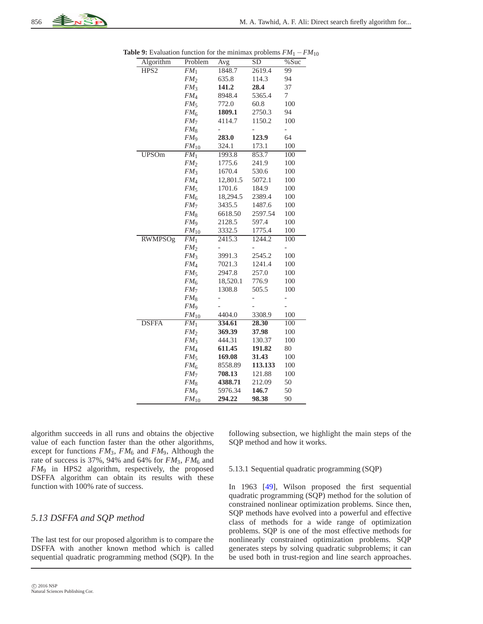<span id="page-15-0"></span>

| Algorithm        | Problem         | Avg      | SD      | %Suc           |
|------------------|-----------------|----------|---------|----------------|
| HPS <sub>2</sub> | FM <sub>1</sub> | 1848.7   | 2619.4  | 99             |
|                  | FM <sub>2</sub> | 635.8    | 114.3   | 94             |
|                  | FM <sub>3</sub> | 141.2    | 28.4    | 37             |
|                  | FM <sub>4</sub> | 8948.4   | 5365.4  | 7              |
|                  | FM <sub>5</sub> | 772.0    | 60.8    | 100            |
|                  | FM <sub>6</sub> | 1809.1   | 2750.3  | 94             |
|                  | FM <sub>7</sub> | 4114.7   | 1150.2  | 100            |
|                  | $FM_8$          |          |         | $\overline{a}$ |
|                  | FM <sub>9</sub> | 283.0    | 123.9   | 64             |
|                  | $FM_{10}$       | 324.1    | 173.1   | 100            |
| <b>UPSOm</b>     | FM <sub>1</sub> | 1993.8   | 853.7   | 100            |
|                  | FM <sub>2</sub> | 1775.6   | 241.9   | 100            |
|                  | FM <sub>3</sub> | 1670.4   | 530.6   | 100            |
|                  | FM <sub>4</sub> | 12,801.5 | 5072.1  | 100            |
|                  | FM <sub>5</sub> | 1701.6   | 184.9   | 100            |
|                  | FM <sub>6</sub> | 18,294.5 | 2389.4  | 100            |
|                  | FM <sub>7</sub> | 3435.5   | 1487.6  | 100            |
|                  | FM <sub>8</sub> | 6618.50  | 2597.54 | 100            |
|                  | FM <sub>9</sub> | 2128.5   | 597.4   | 100            |
|                  | $FM_{10}$       | 3332.5   | 1775.4  | 100            |
| <b>RWMPSOg</b>   | FM <sub>1</sub> | 2415.3   | 1244.2  | 100            |
|                  | FM <sub>2</sub> |          |         | -              |
|                  | FM <sub>3</sub> | 3991.3   | 2545.2  | 100            |
|                  | FM <sub>4</sub> | 7021.3   | 1241.4  | 100            |
|                  | FM <sub>5</sub> | 2947.8   | 257.0   | 100            |
|                  | $FM_6$          | 18,520.1 | 776.9   | 100            |
|                  | FM <sub>7</sub> | 1308.8   | 505.5   | 100            |
|                  | FM <sub>8</sub> |          |         | $\overline{a}$ |
|                  | FM <sub>9</sub> |          |         | $\overline{a}$ |
|                  | $FM_{10}$       | 4404.0   | 3308.9  | 100            |
| <b>DSFFA</b>     | FM <sub>1</sub> | 334.61   | 28.30   | 100            |
|                  | FM <sub>2</sub> | 369.39   | 37.98   | 100            |
|                  | FM <sub>3</sub> | 444.31   | 130.37  | 100            |
|                  | FM <sub>4</sub> | 611.45   | 191.82  | 80             |
|                  | FM <sub>5</sub> | 169.08   | 31.43   | 100            |
|                  | FM <sub>6</sub> | 8558.89  | 113.133 | 100            |
|                  | FM <sub>7</sub> | 708.13   | 121.88  | 100            |
|                  | FM <sub>8</sub> | 4388.71  | 212.09  | 50             |
|                  | FM <sub>9</sub> | 5976.34  | 146.7   | 50             |
|                  | $FM_{10}$       | 294.22   | 98.38   | 90             |

**Table 9:** Evaluation function for the minimax problems  $FM_1 - FM_{10}$ 

algorithm succeeds in all runs and obtains the objective value of each function faster than the other algorithms, except for functions *FM*3, *FM*<sup>6</sup> and *FM*9, Although the rate of success is 37%, 94% and 64% for  $FM_3$ ,  $FM_6$  and *FM*<sup>9</sup> in HPS2 algorithm, respectively, the proposed DSFFA algorithm can obtain its results with these function with 100% rate of success.

### *5.13 DSFFA and SQP method*

The last test for our proposed algorithm is to compare the DSFFA with another known method which is called sequential quadratic programming method (SQP). In the

 c 2016 NSP Natural Sciences Publishing Cor. following subsection, we highlight the main steps of the SQP method and how it works.

#### 5.13.1 Sequential quadratic programming (SQP)

In 1963 [\[49\]](#page-18-29), Wilson proposed the first sequential quadratic programming (SQP) method for the solution of constrained nonlinear optimization problems. Since then, SQP methods have evolved into a powerful and effective class of methods for a wide range of optimization problems. SQP is one of the most effective methods for nonlinearly constrained optimization problems. SQP generates steps by solving quadratic subproblems; it can be used both in trust-region and line search approaches.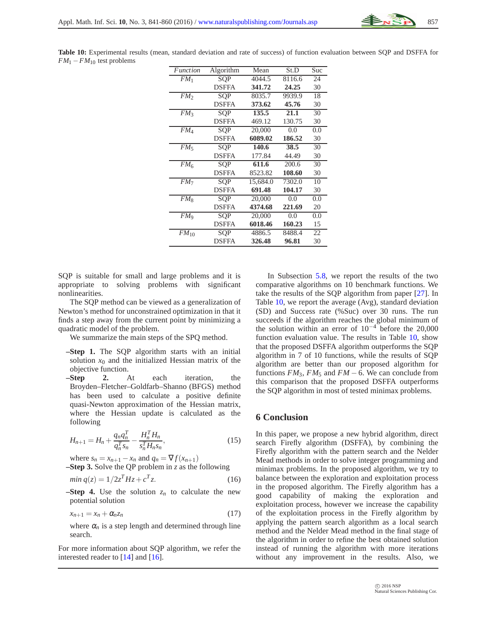<span id="page-16-1"></span>**Table 10:** Experimental results (mean, standard deviation and rate of success) of function evaluation between SQP and DSFFA for *FM*<sup>1</sup> −*FM*<sup>10</sup> test problems

| <b>Function</b> | Algorithm    | Mean     | St.D   | Suc |
|-----------------|--------------|----------|--------|-----|
| FM <sub>1</sub> | SOP          | 4044.5   | 8116.6 | 24  |
|                 | <b>DSFFA</b> | 341.72   | 24.25  | 30  |
| FM <sub>2</sub> | SOP          | 8035.7   | 9939.9 | 18  |
|                 | <b>DSFFA</b> | 373.62   | 45.76  | 30  |
| FM <sub>3</sub> | SOP          | 135.5    | 21.1   | 30  |
|                 | <b>DSFFA</b> | 469.12   | 130.75 | 30  |
| FM <sub>4</sub> | SOP          | 20,000   | 0.0    | 0.0 |
|                 | <b>DSFFA</b> | 6089.02  | 186.52 | 30  |
| FM <sub>5</sub> | <b>SOP</b>   | 140.6    | 38.5   | 30  |
|                 | <b>DSFFA</b> | 177.84   | 44.49  | 30  |
| $FM_6$          | SOP          | 611.6    | 200.6  | 30  |
|                 | <b>DSFFA</b> | 8523.82  | 108.60 | 30  |
| FM <sub>7</sub> | SOP          | 15,684.0 | 7302.0 | 10  |
|                 | <b>DSFFA</b> | 691.48   | 104.17 | 30  |
| $FM_{8}$        | SOP          | 20,000   | 0.0    | 0.0 |
|                 | <b>DSFFA</b> | 4374.68  | 221.69 | 20  |
| $FM_{9}$        | SOP          | 20,000   | 0.0    | 0.0 |
|                 | <b>DSFFA</b> | 6018.46  | 160.23 | 15  |
| $FM_{10}$       | SOP          | 4886.5   | 8488.4 | 22  |
|                 | <b>DSFFA</b> | 326.48   | 96.81  | 30  |

SQP is suitable for small and large problems and it is appropriate to solving problems with significant nonlinearities.

The SQP method can be viewed as a generalization of Newton's method for unconstrained optimization in that it finds a step away from the current point by minimizing a quadratic model of the problem.

We summarize the main steps of the SPQ method.

- **–Step 1.** The SQP algorithm starts with an initial solution  $x_0$  and the initialized Hessian matrix of the objective function.
- **–Step 2.** At each iteration, the Broyden–Fletcher–Goldfarb–Shanno (BFGS) method has been used to calculate a positive definite quasi-Newton approximation of the Hessian matrix, where the Hessian update is calculated as the following

$$
H_{n+1} = H_n + \frac{q_n q_n^T}{q_n^T s_n} - \frac{H_n^T H_n}{s_n^T H_n s_n},
$$
\n(15)

where  $s_n = x_{n+1} - x_n$  and  $q_n = \nabla f(x_{n+1})$ 

**–Step 3.** Solve the QP problem in *z* as the following

$$
min q(z) = 1/2z^T Hz + c^T z.
$$
\n(16)

**–Step 4.** Use the solution  $z_n$  to calculate the new potential solution

$$
x_{n+1} = x_n + \alpha_n z_n \tag{17}
$$

where  $\alpha_n$  is a step length and determined through line search.

For more information about SQP algorithm, we refer the interested reader to [\[14\]](#page-17-25) and [\[16\]](#page-17-26).

In Subsection [5.8,](#page-11-0) we report the results of the two comparative algorithms on 10 benchmark functions. We take the results of the SQP algorithm from paper [\[27\]](#page-17-23). In Table [10,](#page-16-1) we report the average (Avg), standard deviation (SD) and Success rate (%Suc) over 30 runs. The run succeeds if the algorithm reaches the global minimum of the solution within an error of  $10^{-4}$  before the 20,000 function evaluation value. The results in Table [10,](#page-16-1) show that the proposed DSFFA algorithm outperforms the SQP algorithm in 7 of 10 functions, while the results of SQP algorithm are better than our proposed algorithm for functions  $FM_3$ ,  $FM_5$  and  $FM - 6$ . We can conclude from this comparison that the proposed DSFFA outperforms the SQP algorithm in most of tested minimax problems.

#### <span id="page-16-0"></span>**6 Conclusion**

In this paper, we propose a new hybrid algorithm, direct search Firefly algorithm (DSFFA), by combining the Firefly algorithm with the pattern search and the Nelder Mead methods in order to solve integer programming and minimax problems. In the proposed algorithm, we try to balance between the exploration and exploitation process in the proposed algorithm. The Firefly algorithm has a good capability of making the exploration and exploitation process, however we increase the capability of the exploitation process in the Firefly algorithm by applying the pattern search algorithm as a local search method and the Nelder Mead method in the final stage of the algorithm in order to refine the best obtained solution instead of running the algorithm with more iterations without any improvement in the results. Also, we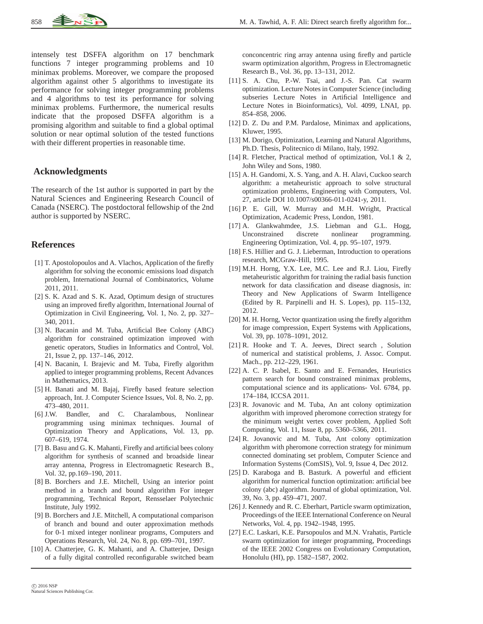

intensely test DSFFA algorithm on 17 benchmark functions 7 integer programming problems and 10 minimax problems. Moreover, we compare the proposed algorithm against other 5 algorithms to investigate its performance for solving integer programming problems and 4 algorithms to test its performance for solving minimax problems. Furthermore, the numerical results indicate that the proposed DSFFA algorithm is a promising algorithm and suitable to find a global optimal solution or near optimal solution of the tested functions with their different properties in reasonable time.

### **Acknowledgments**

The research of the 1st author is supported in part by the Natural Sciences and Engineering Research Council of Canada (NSERC). The postdoctoral fellowship of the 2nd author is supported by NSERC.

#### **References**

- <span id="page-17-11"></span>[1] T. Apostolopoulos and A. Vlachos, Application of the firefly algorithm for solving the economic emissions load dispatch problem, International Journal of Combinatorics, Volume 2011, 2011.
- <span id="page-17-8"></span>[2] S. K. Azad and S. K. Azad, Optimum design of structures using an improved firefly algorithm, International Journal of Optimization in Civil Engineering, Vol. 1, No. 2, pp. 327– 340, 2011.
- <span id="page-17-15"></span>[3] N. Bacanin and M. Tuba, Artificial Bee Colony (ABC) algorithm for constrained optimization improved with genetic operators, Studies in Informatics and Control, Vol. 21, Issue 2, pp. 137–146, 2012.
- <span id="page-17-16"></span>[4] N. Bacanin, I. Brajevic and M. Tuba, Firefly algorithm applied to integer programming problems, Recent Advances in Mathematics, 2013.
- <span id="page-17-6"></span>[5] H. Banati and M. Bajaj, Firefly based feature selection approach, Int. J. Computer Science Issues, Vol. 8, No. 2, pp. 473–480, 2011.
- <span id="page-17-17"></span>[6] J.W. Bandler, and C. Charalambous, Nonlinear programming using minimax techniques. Journal of Optimization Theory and Applications, Vol. 13, pp. 607–619, 1974.
- <span id="page-17-9"></span>[7] B. Basu and G. K. Mahanti, Firefly and artificial bees colony algorithm for synthesis of scanned and broadside linear array antenna, Progress in Electromagnetic Research B., Vol. 32, pp.169–190, 2011.
- <span id="page-17-21"></span>[8] B. Borchers and J.E. Mitchell, Using an interior point method in a branch and bound algorithm For integer programming, Technical Report, Rensselaer Polytechnic Institute, July 1992.
- <span id="page-17-22"></span>[9] B. Borchers and J.E. Mitchell, A computational comparison of branch and bound and outer approximation methods for 0-1 mixed integer nonlinear programs, Computers and Operations Research, Vol. 24, No. 8, pp. 699–701, 1997.
- <span id="page-17-10"></span>[10] A. Chatterjee, G. K. Mahanti, and A. Chatterjee, Design of a fully digital controlled reconfigurable switched beam

conconcentric ring array antenna using firefly and particle swarm optimization algorithm, Progress in Electromagnetic Research B., Vol. 36, pp. 13–131, 2012.

- <span id="page-17-3"></span>[11] S. A. Chu, P.-W. Tsai, and J.-S. Pan. Cat swarm optimization. Lecture Notes in Computer Science (including subseries Lecture Notes in Artificial Intelligence and Lecture Notes in Bioinformatics), Vol. 4099, LNAI, pp. 854–858, 2006.
- <span id="page-17-12"></span><span id="page-17-0"></span>[12] D. Z. Du and P.M. Pardalose, Minimax and applications, Kluwer, 1995.
- [13] M. Dorigo, Optimization, Learning and Natural Algorithms, Ph.D. Thesis, Politecnico di Milano, Italy, 1992.
- <span id="page-17-25"></span>[14] R. Fletcher, Practical method of optimization, Vol.1 & 2, John Wiley and Sons, 1980.
- <span id="page-17-7"></span>[15] A. H. Gandomi, X. S. Yang, and A. H. Alavi, Cuckoo search algorithm: a metaheuristic approach to solve structural optimization problems, Engineering with Computers, Vol. 27, article DOI 10.1007/s00366-011-0241-y, 2011.
- <span id="page-17-26"></span>[16] P. E. Gill, W. Murray and M.H. Wright, Practical Optimization, Academic Press, London, 1981.
- <span id="page-17-20"></span>[17] A. Glankwahmdee, J.S. Liebman and G.L. Hogg, Unconstrained discrete nonlinear programming. Engineering Optimization, Vol. 4, pp. 95–107, 1979.
- <span id="page-17-18"></span>[18] F.S. Hillier and G. J. Lieberman, Introduction to operations research, MCGraw-Hill, 1995.
- <span id="page-17-4"></span>[19] M.H. Horng, Y.X. Lee, M.C. Lee and R.J. Liou, Firefly metaheuristic algorithm for training the radial basis function network for data classification and disease diagnosis, in: Theory and New Applications of Swarm Intelligence (Edited by R. Parpinelli and H. S. Lopes), pp. 115–132, 2012.
- <span id="page-17-5"></span>[20] M. H. Horng, Vector quantization using the firefly algorithm for image compression, Expert Systems with Applications, Vol. 39, pp. 1078–1091, 2012.
- <span id="page-17-19"></span>[21] R. Hooke and T. A. Jeeves, Direct search , Solution of numerical and statistical problems, J. Assoc. Comput. Mach., pp. 212–229, 1961.
- <span id="page-17-24"></span>[22] A. C. P. Isabel, E. Santo and E. Fernandes, Heuristics pattern search for bound constrained minimax problems, computational science and its applications- Vol. 6784, pp. 174–184, ICCSA 2011.
- <span id="page-17-13"></span>[23] R. Jovanovic and M. Tuba, An ant colony optimization algorithm with improved pheromone correction strategy for the minimum weight vertex cover problem, Applied Soft Computing, Vol. 11, Issue 8, pp. 5360–5366, 2011.
- <span id="page-17-14"></span>[24] R. Jovanovic and M. Tuba, Ant colony optimization algorithm with pheromone correction strategy for minimum connected dominating set problem, Computer Science and Information Systems (ComSIS), Vol. 9, Issue 4, Dec 2012.
- <span id="page-17-1"></span>[25] D. Karaboga and B. Basturk. A powerful and efficient algorithm for numerical function optimization: artificial bee colony (abc) algorithm. Journal of global optimization, Vol. 39, No. 3, pp. 459–471, 2007.
- <span id="page-17-2"></span>[26] J. Kennedy and R. C. Eberhart, Particle swarm optimization, Proceedings of the IEEE International Conference on Neural Networks, Vol. 4, pp. 1942–1948, 1995.
- <span id="page-17-23"></span>[27] E.C. Laskari, K.E. Parsopoulos and M.N. Vrahatis, Particle swarm optimization for integer programming, Proceedings of the IEEE 2002 Congress on Evolutionary Computation, Honolulu (HI), pp. 1582–1587, 2002.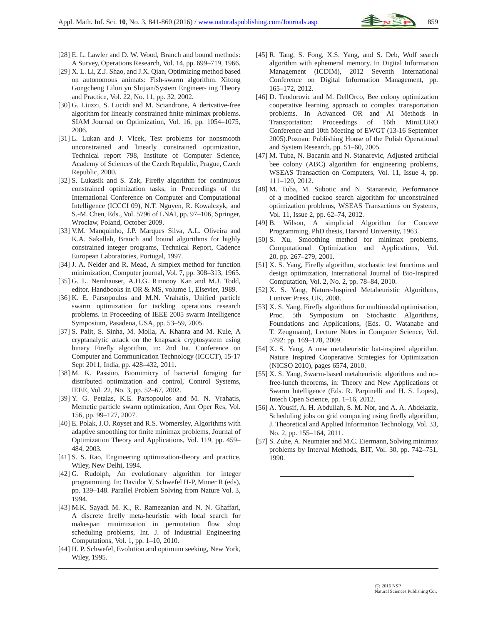- <span id="page-18-24"></span>[28] E. L. Lawler and D. W. Wood, Branch and bound methods: A Survey, Operations Research, Vol. 14, pp. 699–719, 1966.
- <span id="page-18-6"></span>[29] X. L. Li, Z.J. Shao, and J.X. Qian, Optimizing method based on autonomous animats: Fish-swarm algorithm. Xitong Gongcheng Lilun yu Shijian/System Engineer- ing Theory and Practice, Vol. 22, No. 11, pp. 32, 2002.
- <span id="page-18-17"></span>[30] G. Liuzzi, S. Lucidi and M. Sciandrone, A derivative-free algorithm for linearly constrained finite minimax problems. SIAM Journal on Optimization, Vol. 16, pp. 1054–1075, 2006.
- <span id="page-18-27"></span>[31] L. Lukan and J. Vlcek, Test problems for nonsmooth unconstrained and linearly constrained optimization, Technical report 798, Institute of Computer Science, Academy of Sciences of the Czech Republic, Prague, Czech Republic, 2000.
- <span id="page-18-21"></span>[32] S. Lukasik and S. Zak, Firefly algorithm for continuous constrained optimization tasks, in Proceedings of the International Conference on Computer and Computational Intelligence (ICCCI 09), N.T. Nguyen, R. Kowalczyk, and S.-M. Chen, Eds., Vol. 5796 of LNAI, pp. 97–106, Springer, Wroclaw, Poland, October 2009.
- <span id="page-18-25"></span>[33] V.M. Manquinho, J.P. Marques Silva, A.L. Oliveira and K.A. Sakallah, Branch and bound algorithms for highly constrained integer programs, Technical Report, Cadence European Laboratories, Portugal, 1997.
- <span id="page-18-19"></span>[34] J. A. Nelder and R. Mead, A simplex method for function minimization, Computer journal, Vol. 7, pp. 308–313, 1965.
- <span id="page-18-11"></span>[35] G. L. Nemhauser, A.H.G. Rinnooy Kan and M.J. Todd, editor. Handbooks in OR & MS, volume 1, Elsevier, 1989.
- <span id="page-18-28"></span>[36] K. E. Parsopoulos and M.N. Vrahatis, Unified particle swarm optimization for tackling operations research problems. in Proceeding of IEEE 2005 swarm Intelligence Symposium, Pasadena, USA, pp. 53–59, 2005.
- <span id="page-18-9"></span>[37] S. Palit, S. Sinha, M. Molla, A. Khanra and M. Kule, A cryptanalytic attack on the knapsack cryptosystem using binary Firefly algorithm, in: 2nd Int. Conference on Computer and Communication Technology (ICCCT), 15-17 Sept 2011, India, pp. 428–432, 2011.
- <span id="page-18-0"></span>[38] M. K. Passino, Biomimicry of bacterial foraging for distributed optimization and control, Control Systems, IEEE, Vol. 22, No. 3, pp. 52–67, 2002.
- <span id="page-18-14"></span>[39] Y. G. Petalas, K.E. Parsopoulos and M. N. Vrahatis, Memetic particle swarm optimization, Ann Oper Res, Vol. 156, pp. 99–127, 2007.
- <span id="page-18-18"></span>[40] E. Polak, J.O. Royset and R.S. Womersley, Algorithms with adaptive smoothing for finite minimax problems, Journal of Optimization Theory and Applications, Vol. 119, pp. 459– 484, 2003.
- <span id="page-18-23"></span>[41] S. S. Rao, Engineering optimization-theory and practice. Wiley, New Delhi, 1994.
- <span id="page-18-22"></span>[42] G. Rudolph, An evolutionary algorithm for integer programming. In: Davidor Y, Schwefel H-P, Mnner R (eds), pp. 139–148. Parallel Problem Solving from Nature Vol. 3, 1994.
- <span id="page-18-7"></span>[43] M.K. Sayadi M. K., R. Ramezanian and N. N. Ghaffari, A discrete firefly meta-heuristic with local search for makespan minimization in permutation flow shop scheduling problems, Int. J. of Industrial Engineering Computations, Vol. 1, pp. 1–10, 2010.
- <span id="page-18-26"></span>[44] H. P. Schwefel, Evolution and optimum seeking, New York, Wiley, 1995.
- <span id="page-18-3"></span>[45] R. Tang, S. Fong, X.S. Yang, and S. Deb, Wolf search algorithm with ephemeral memory. In Digital Information Management (ICDIM), 2012 Seventh International Conference on Digital Information Management, pp. 165–172, 2012.
- <span id="page-18-2"></span>[46] D. Teodorovic and M. DellOrco, Bee colony optimization cooperative learning approach to complex transportation problems. In Advanced OR and AI Methods in Transportation: Proceedings of 16th MiniEURO Conference and 10th Meeting of EWGT (13-16 September 2005).Poznan: Publishing House of the Polish Operational and System Research, pp. 51–60, 2005.
- <span id="page-18-13"></span>[47] M. Tuba, N. Bacanin and N. Stanarevic, Adjusted artificial bee colony (ABC) algorithm for engineering problems, WSEAS Transaction on Computers, Vol. 11, Issue 4, pp. 111–120, 2012.
- <span id="page-18-15"></span>[48] M. Tuba, M. Subotic and N. Stanarevic, Performance of a modified cuckoo search algorithm for unconstrained optimization problems, WSEAS Transactions on Systems, Vol. 11, Issue 2, pp. 62–74, 2012.
- <span id="page-18-29"></span>[49] B. Wilson, A simplicial Algorithm for Concave Programming, PhD thesis, Harvard University, 1963.
- <span id="page-18-16"></span>[50] S. Xu, Smoothing method for minimax problems, Computational Optimization and Applications, Vol. 20, pp. 267–279, 2001.
- <span id="page-18-5"></span>[51] X. S. Yang, Firefly algorithm, stochastic test functions and design optimization, International Journal of Bio-Inspired Computation, Vol. 2, No. 2, pp. 78–84, 2010.
- <span id="page-18-20"></span>[52] X. S. Yang, Nature-Inspired Metaheuristic Algorithms, Luniver Press, UK, 2008.
- <span id="page-18-4"></span>[53] X. S. Yang, Firefly algorithms for multimodal optimisation, Proc. 5th Symposium on Stochastic Algorithms, Foundations and Applications, (Eds. O. Watanabe and T. Zeugmann), Lecture Notes in Computer Science, Vol. 5792: pp. 169–178, 2009.
- <span id="page-18-1"></span>[54] X. S. Yang. A new metaheuristic bat-inspired algorithm. Nature Inspired Cooperative Strategies for Optimization (NICSO 2010), pages 6574, 2010.
- <span id="page-18-8"></span>[55] X. S. Yang, Swarm-based metaheuristic algorithms and nofree-lunch theorems, in: Theory and New Applications of Swarm Intelligence (Eds. R. Parpinelli and H. S. Lopes), Intech Open Science, pp. 1–16, 2012.
- <span id="page-18-10"></span>[56] A. Yousif, A. H. Abdullah, S. M. Nor, and A. A. Abdelaziz, Scheduling jobs on grid computing using firefly algorithm, J. Theoretical and Applied Information Technology, Vol. 33, No. 2, pp. 155–164, 2011.
- <span id="page-18-12"></span>[57] S. Zuhe, A. Neumaier and M.C. Eiermann, Solving minimax problems by Interval Methods, BIT, Vol. 30, pp. 742–751, 1990.